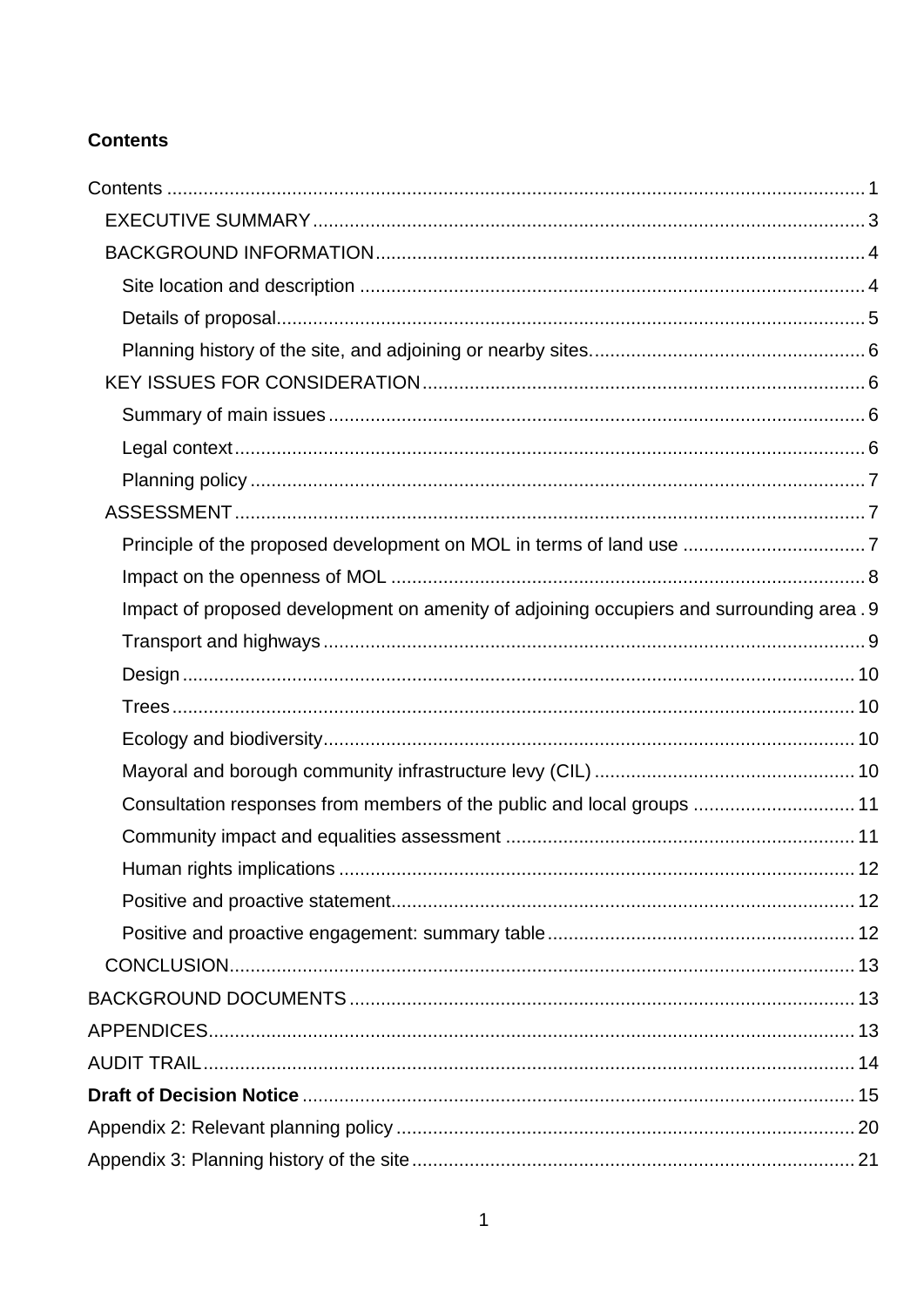## <span id="page-0-0"></span>**Contents**

| Impact of proposed development on amenity of adjoining occupiers and surrounding area. 9 |  |
|------------------------------------------------------------------------------------------|--|
|                                                                                          |  |
|                                                                                          |  |
|                                                                                          |  |
|                                                                                          |  |
|                                                                                          |  |
| Consultation responses from members of the public and local groups  11                   |  |
|                                                                                          |  |
|                                                                                          |  |
|                                                                                          |  |
|                                                                                          |  |
|                                                                                          |  |
|                                                                                          |  |
|                                                                                          |  |
|                                                                                          |  |
|                                                                                          |  |
|                                                                                          |  |
|                                                                                          |  |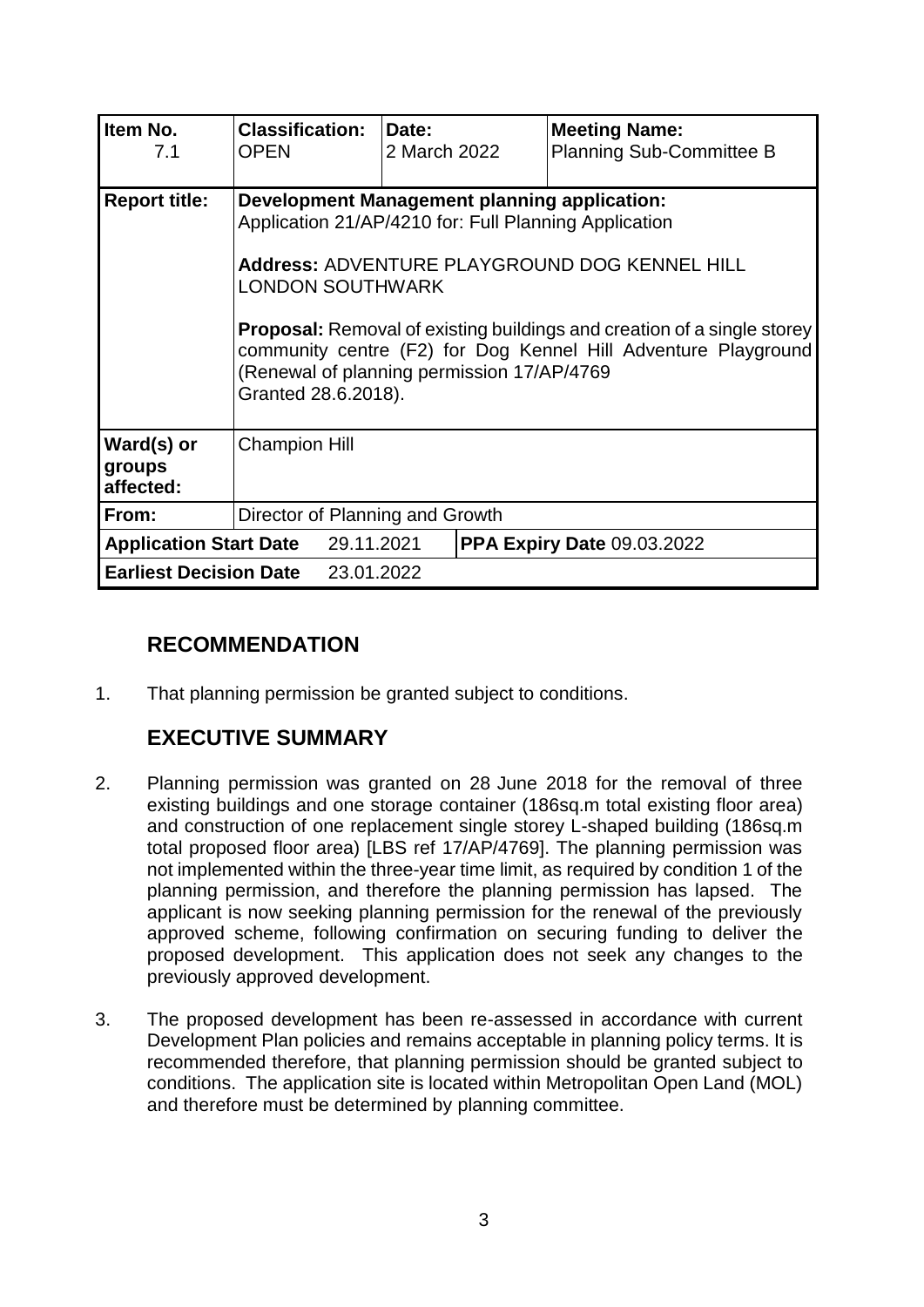| Item No.<br>7.1                          | <b>Classification:</b><br><b>OPEN</b>                                                                                                                                                                                                                                                                                                                                                                             | Date:<br>2 March 2022 | <b>Meeting Name:</b><br>Planning Sub-Committee B |  |
|------------------------------------------|-------------------------------------------------------------------------------------------------------------------------------------------------------------------------------------------------------------------------------------------------------------------------------------------------------------------------------------------------------------------------------------------------------------------|-----------------------|--------------------------------------------------|--|
| <b>Report title:</b>                     | <b>Development Management planning application:</b><br>Application 21/AP/4210 for: Full Planning Application<br>Address: ADVENTURE PLAYGROUND DOG KENNEL HILL<br><b>LONDON SOUTHWARK</b><br><b>Proposal:</b> Removal of existing buildings and creation of a single storey<br>community centre (F2) for Dog Kennel Hill Adventure Playground<br>(Renewal of planning permission 17/AP/4769<br>Granted 28.6.2018). |                       |                                                  |  |
| Ward(s) or<br>groups<br>affected:        | <b>Champion Hill</b>                                                                                                                                                                                                                                                                                                                                                                                              |                       |                                                  |  |
| Director of Planning and Growth<br>From: |                                                                                                                                                                                                                                                                                                                                                                                                                   |                       |                                                  |  |
|                                          | <b>Application Start Date</b> 29.11.2021                                                                                                                                                                                                                                                                                                                                                                          |                       | <b>PPA Expiry Date 09.03.2022</b>                |  |
|                                          | <b>Earliest Decision Date</b> 23.01.2022                                                                                                                                                                                                                                                                                                                                                                          |                       |                                                  |  |

# **RECOMMENDATION**

1. That planning permission be granted subject to conditions.

# <span id="page-2-0"></span>**EXECUTIVE SUMMARY**

- 2. Planning permission was granted on 28 June 2018 for the removal of three existing buildings and one storage container (186sq.m total existing floor area) and construction of one replacement single storey L-shaped building (186sq.m total proposed floor area) [LBS ref 17/AP/4769]. The planning permission was not implemented within the three-year time limit, as required by condition 1 of the planning permission, and therefore the planning permission has lapsed. The applicant is now seeking planning permission for the renewal of the previously approved scheme, following confirmation on securing funding to deliver the proposed development. This application does not seek any changes to the previously approved development.
- 3. The proposed development has been re-assessed in accordance with current Development Plan policies and remains acceptable in planning policy terms. It is recommended therefore, that planning permission should be granted subject to conditions. The application site is located within Metropolitan Open Land (MOL) and therefore must be determined by planning committee.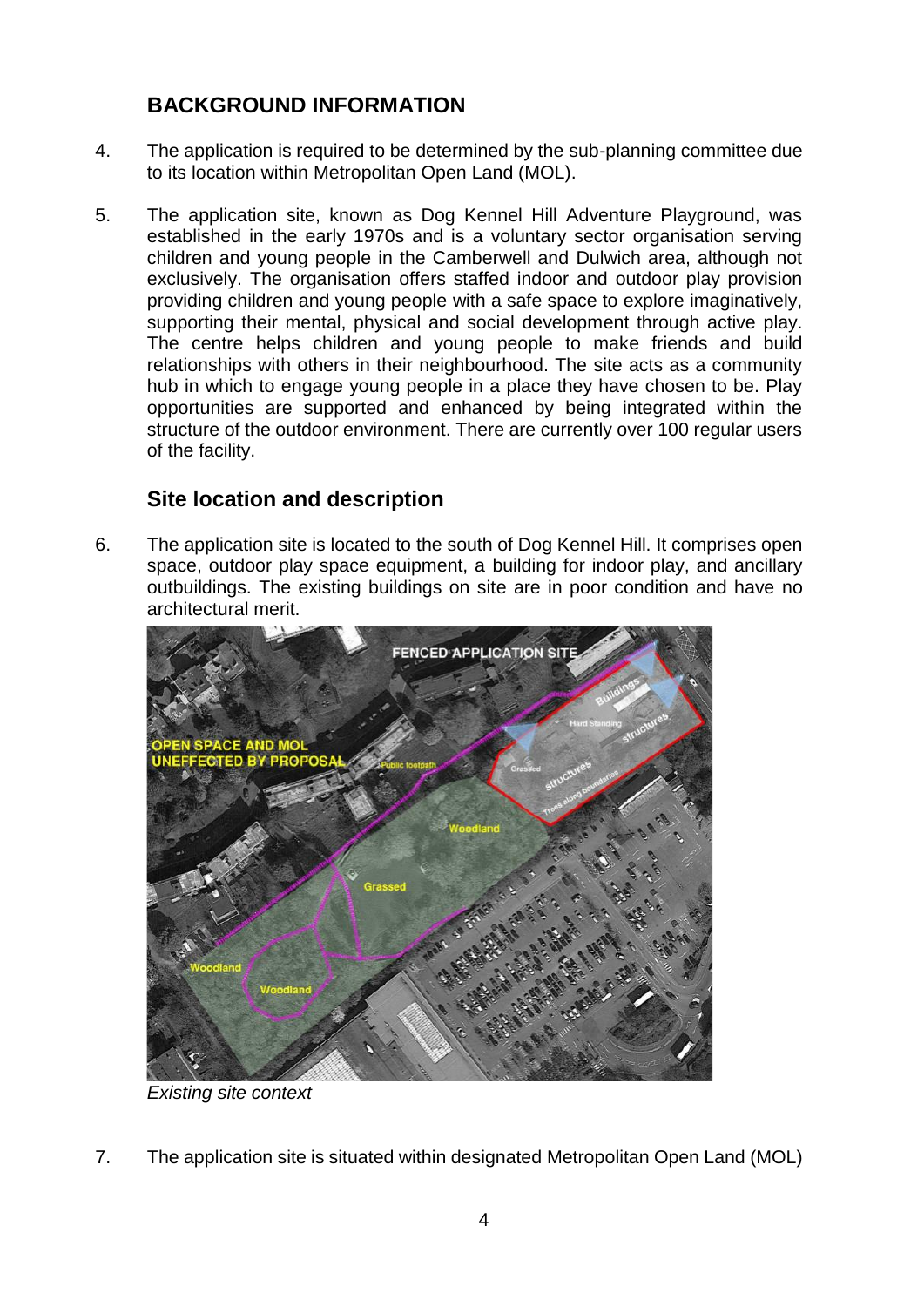# <span id="page-3-0"></span>**BACKGROUND INFORMATION**

- 4. The application is required to be determined by the sub-planning committee due to its location within Metropolitan Open Land (MOL).
- 5. The application site, known as Dog Kennel Hill Adventure Playground, was established in the early 1970s and is a voluntary sector organisation serving children and young people in the Camberwell and Dulwich area, although not exclusively. The organisation offers staffed indoor and outdoor play provision providing children and young people with a safe space to explore imaginatively, supporting their mental, physical and social development through active play. The centre helps children and young people to make friends and build relationships with others in their neighbourhood. The site acts as a community hub in which to engage young people in a place they have chosen to be. Play opportunities are supported and enhanced by being integrated within the structure of the outdoor environment. There are currently over 100 regular users of the facility.

# <span id="page-3-1"></span>**Site location and description**

6. The application site is located to the south of Dog Kennel Hill. It comprises open space, outdoor play space equipment, a building for indoor play, and ancillary outbuildings. The existing buildings on site are in poor condition and have no architectural merit.



*Existing site context* 

7. The application site is situated within designated Metropolitan Open Land (MOL)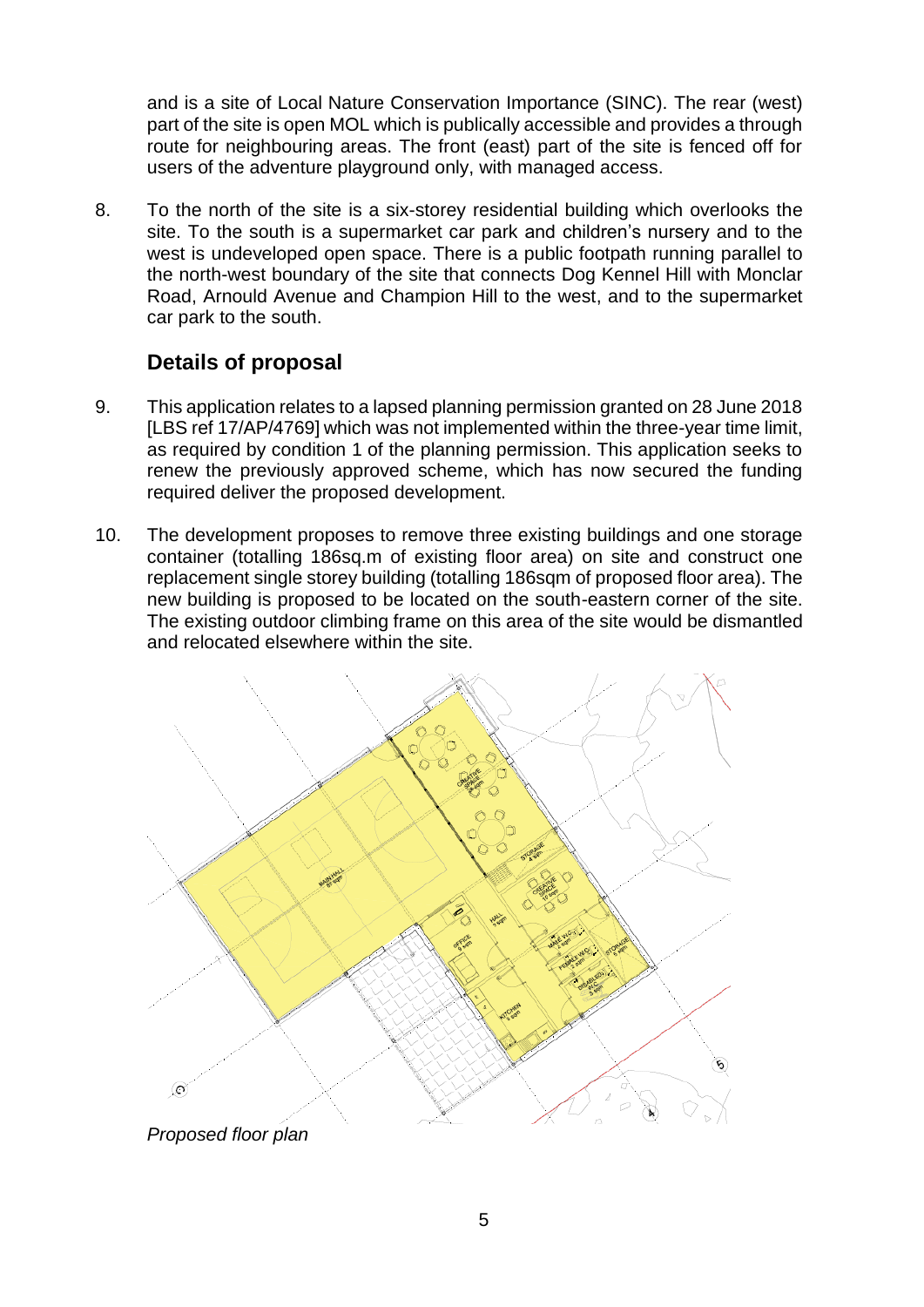and is a site of Local Nature Conservation Importance (SINC). The rear (west) part of the site is open MOL which is publically accessible and provides a through route for neighbouring areas. The front (east) part of the site is fenced off for users of the adventure playground only, with managed access.

8. To the north of the site is a six-storey residential building which overlooks the site. To the south is a supermarket car park and children's nursery and to the west is undeveloped open space. There is a public footpath running parallel to the north-west boundary of the site that connects Dog Kennel Hill with Monclar Road, Arnould Avenue and Champion Hill to the west, and to the supermarket car park to the south.

## <span id="page-4-0"></span>**Details of proposal**

- 9. This application relates to a lapsed planning permission granted on 28 June 2018 [LBS ref 17/AP/4769] which was not implemented within the three-year time limit, as required by condition 1 of the planning permission. This application seeks to renew the previously approved scheme, which has now secured the funding required deliver the proposed development.
- 10. The development proposes to remove three existing buildings and one storage container (totalling 186sq.m of existing floor area) on site and construct one replacement single storey building (totalling 186sqm of proposed floor area). The new building is proposed to be located on the south-eastern corner of the site. The existing outdoor climbing frame on this area of the site would be dismantled and relocated elsewhere within the site.



*Proposed floor plan*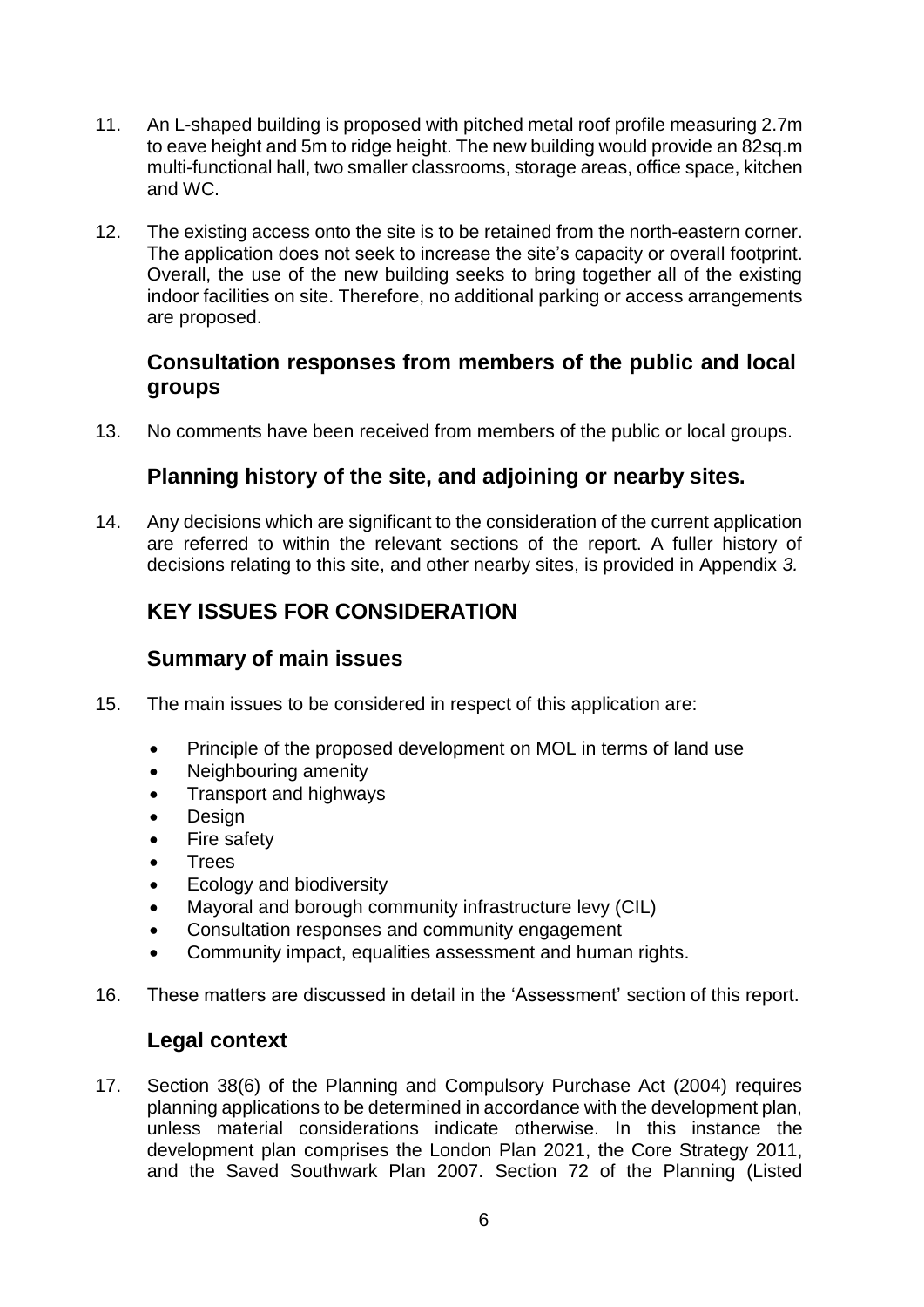- 11. An L-shaped building is proposed with pitched metal roof profile measuring 2.7m to eave height and 5m to ridge height. The new building would provide an 82sq.m multi-functional hall, two smaller classrooms, storage areas, office space, kitchen and WC.
- 12. The existing access onto the site is to be retained from the north-eastern corner. The application does not seek to increase the site's capacity or overall footprint. Overall, the use of the new building seeks to bring together all of the existing indoor facilities on site. Therefore, no additional parking or access arrangements are proposed.

### **Consultation responses from members of the public and local groups**

13. No comments have been received from members of the public or local groups.

## <span id="page-5-0"></span>**Planning history of the site, and adjoining or nearby sites.**

14. Any decisions which are significant to the consideration of the current application are referred to within the relevant sections of the report. A fuller history of decisions relating to this site, and other nearby sites, is provided in Appendix *3.*

# <span id="page-5-1"></span>**KEY ISSUES FOR CONSIDERATION**

## <span id="page-5-2"></span>**Summary of main issues**

- 15. The main issues to be considered in respect of this application are:
	- Principle of the proposed development on MOL in terms of land use
	- Neighbouring amenity
	- Transport and highways
	- Design
	- Fire safety
	- **Trees**
	- Ecology and biodiversity
	- Mayoral and borough community infrastructure levy (CIL)
	- Consultation responses and community engagement
	- Community impact, equalities assessment and human rights.
- 16. These matters are discussed in detail in the 'Assessment' section of this report.

#### <span id="page-5-3"></span>**Legal context**

17. Section 38(6) of the Planning and Compulsory Purchase Act (2004) requires planning applications to be determined in accordance with the development plan, unless material considerations indicate otherwise. In this instance the development plan comprises the London Plan 2021, the Core Strategy 2011, and the Saved Southwark Plan 2007. Section 72 of the Planning (Listed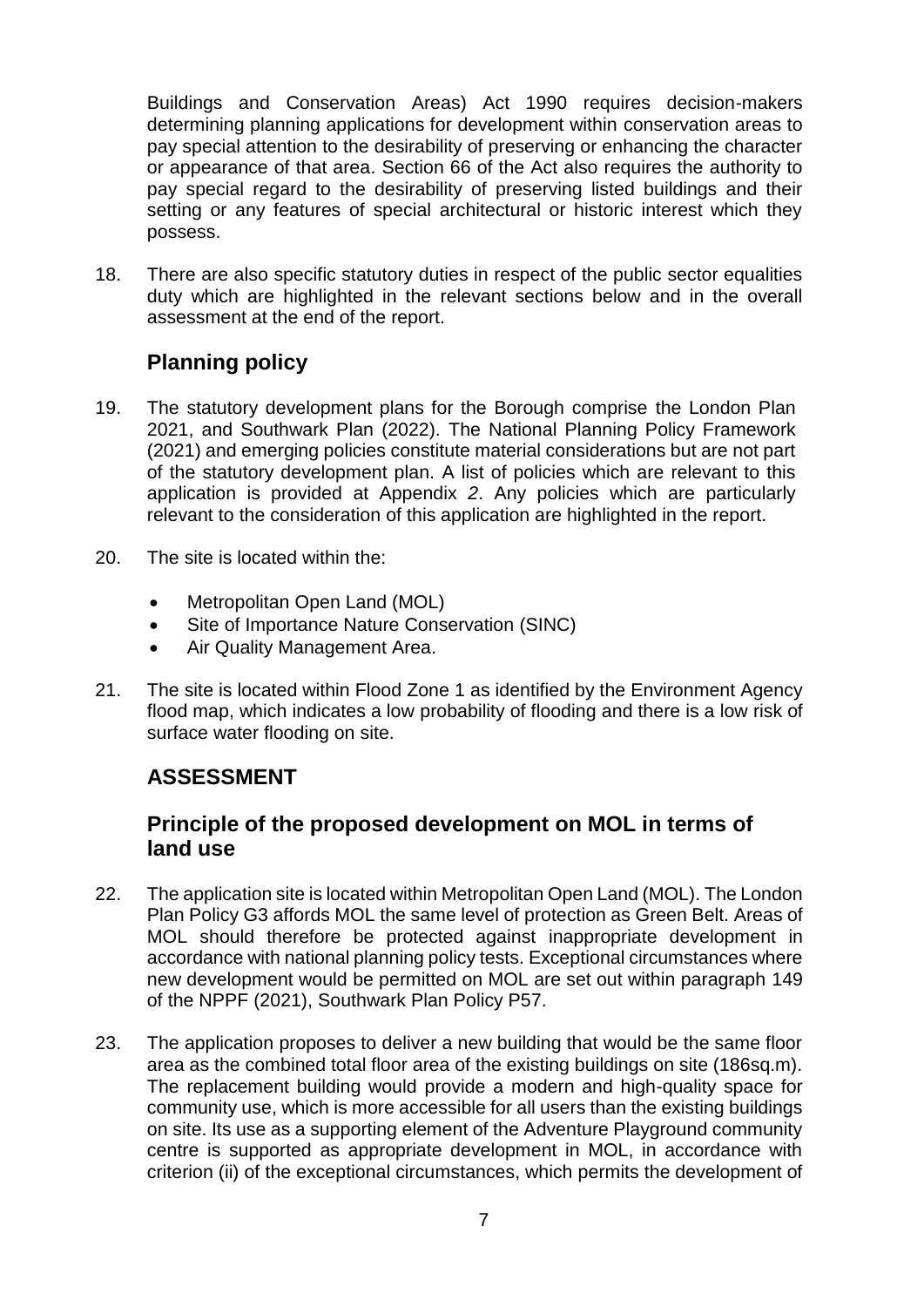Buildings and Conservation Areas) Act 1990 requires decision-makers determining planning applications for development within conservation areas to pay special attention to the desirability of preserving or enhancing the character or appearance of that area. Section 66 of the Act also requires the authority to pay special regard to the desirability of preserving listed buildings and their setting or any features of special architectural or historic interest which they possess.

18. There are also specific statutory duties in respect of the public sector equalities duty which are highlighted in the relevant sections below and in the overall assessment at the end of the report.

## <span id="page-6-0"></span>**Planning policy**

- 19. The statutory development plans for the Borough comprise the London Plan 2021, and Southwark Plan (2022). The National Planning Policy Framework (2021) and emerging policies constitute material considerations but are not part of the statutory development plan. A list of policies which are relevant to this application is provided at Appendix *2*. Any policies which are particularly relevant to the consideration of this application are highlighted in the report.
- 20. The site is located within the:
	- Metropolitan Open Land (MOL)
	- Site of Importance Nature Conservation (SINC)
	- Air Quality Management Area.
- 21. The site is located within Flood Zone 1 as identified by the Environment Agency flood map, which indicates a low probability of flooding and there is a low risk of surface water flooding on site.

# <span id="page-6-1"></span>**ASSESSMENT**

## <span id="page-6-2"></span>**Principle of the proposed development on MOL in terms of land use**

- 22. The application site is located within Metropolitan Open Land (MOL). The London Plan Policy G3 affords MOL the same level of protection as Green Belt. Areas of MOL should therefore be protected against inappropriate development in accordance with national planning policy tests. Exceptional circumstances where new development would be permitted on MOL are set out within paragraph 149 of the NPPF (2021), Southwark Plan Policy P57.
- 23. The application proposes to deliver a new building that would be the same floor area as the combined total floor area of the existing buildings on site (186sq.m). The replacement building would provide a modern and high-quality space for community use, which is more accessible for all users than the existing buildings on site. Its use as a supporting element of the Adventure Playground community centre is supported as appropriate development in MOL, in accordance with criterion (ii) of the exceptional circumstances, which permits the development of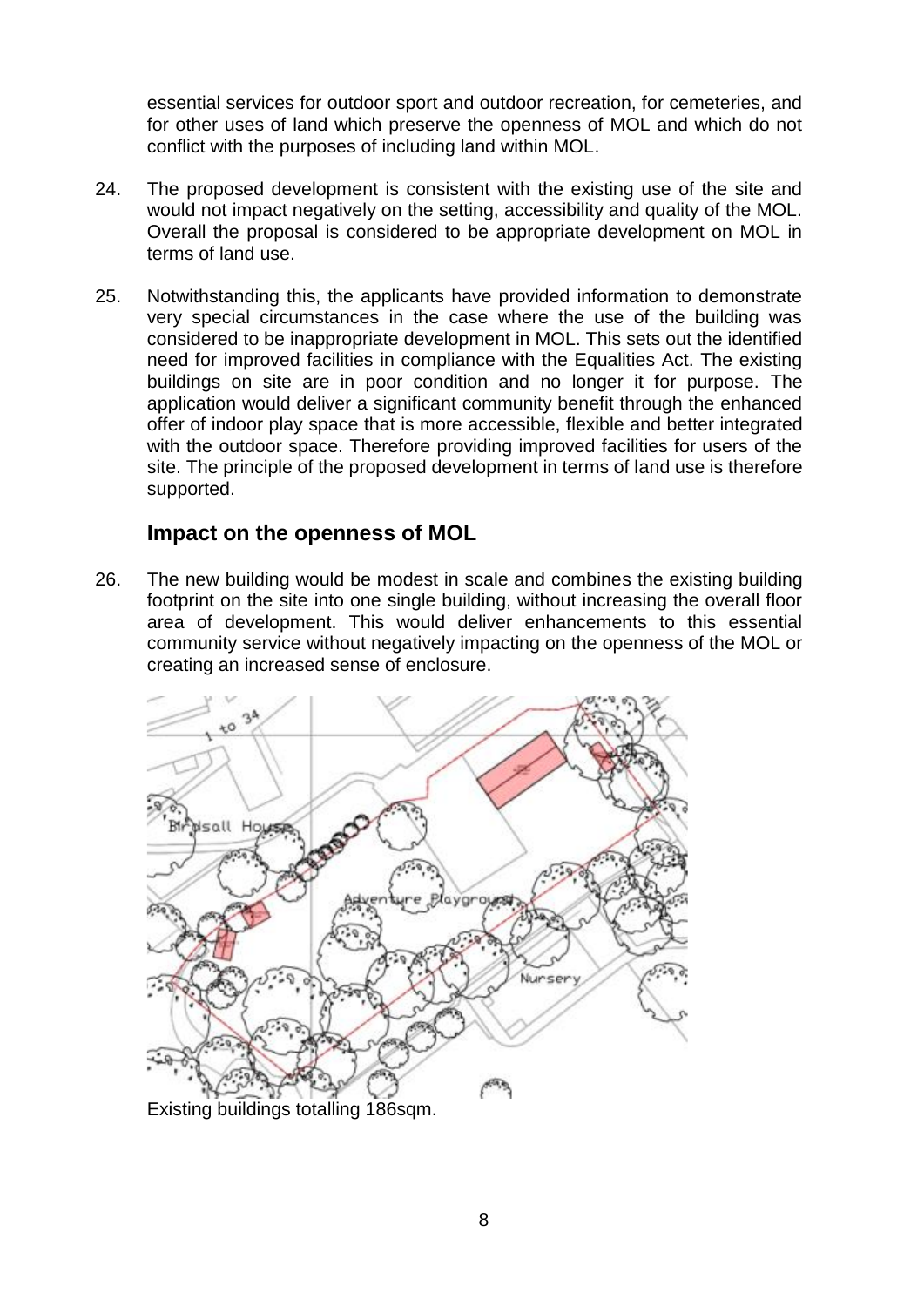essential services for outdoor sport and outdoor recreation, for cemeteries, and for other uses of land which preserve the openness of MOL and which do not conflict with the purposes of including land within MOL.

- 24. The proposed development is consistent with the existing use of the site and would not impact negatively on the setting, accessibility and quality of the MOL. Overall the proposal is considered to be appropriate development on MOL in terms of land use.
- 25. Notwithstanding this, the applicants have provided information to demonstrate very special circumstances in the case where the use of the building was considered to be inappropriate development in MOL. This sets out the identified need for improved facilities in compliance with the Equalities Act. The existing buildings on site are in poor condition and no longer it for purpose. The application would deliver a significant community benefit through the enhanced offer of indoor play space that is more accessible, flexible and better integrated with the outdoor space. Therefore providing improved facilities for users of the site. The principle of the proposed development in terms of land use is therefore supported.

#### <span id="page-7-0"></span>**Impact on the openness of MOL**

26. The new building would be modest in scale and combines the existing building footprint on the site into one single building, without increasing the overall floor area of development. This would deliver enhancements to this essential community service without negatively impacting on the openness of the MOL or creating an increased sense of enclosure.

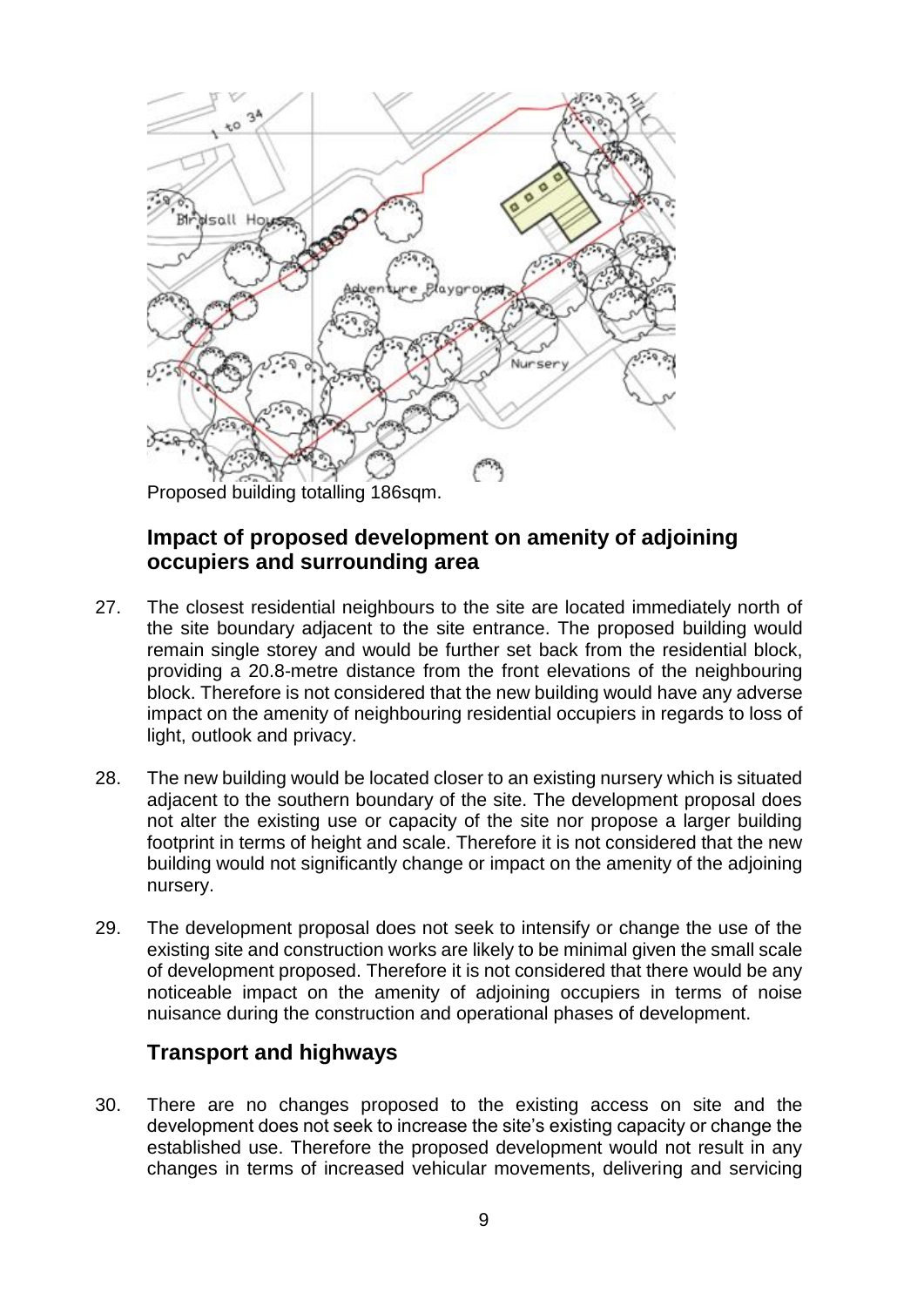

Proposed building totalling 186sqm.

### <span id="page-8-0"></span>**Impact of proposed development on amenity of adjoining occupiers and surrounding area**

- 27. The closest residential neighbours to the site are located immediately north of the site boundary adjacent to the site entrance. The proposed building would remain single storey and would be further set back from the residential block, providing a 20.8-metre distance from the front elevations of the neighbouring block. Therefore is not considered that the new building would have any adverse impact on the amenity of neighbouring residential occupiers in regards to loss of light, outlook and privacy.
- 28. The new building would be located closer to an existing nursery which is situated adjacent to the southern boundary of the site. The development proposal does not alter the existing use or capacity of the site nor propose a larger building footprint in terms of height and scale. Therefore it is not considered that the new building would not significantly change or impact on the amenity of the adjoining nursery.
- 29. The development proposal does not seek to intensify or change the use of the existing site and construction works are likely to be minimal given the small scale of development proposed. Therefore it is not considered that there would be any noticeable impact on the amenity of adjoining occupiers in terms of noise nuisance during the construction and operational phases of development.

## <span id="page-8-1"></span>**Transport and highways**

30. There are no changes proposed to the existing access on site and the development does not seek to increase the site's existing capacity or change the established use. Therefore the proposed development would not result in any changes in terms of increased vehicular movements, delivering and servicing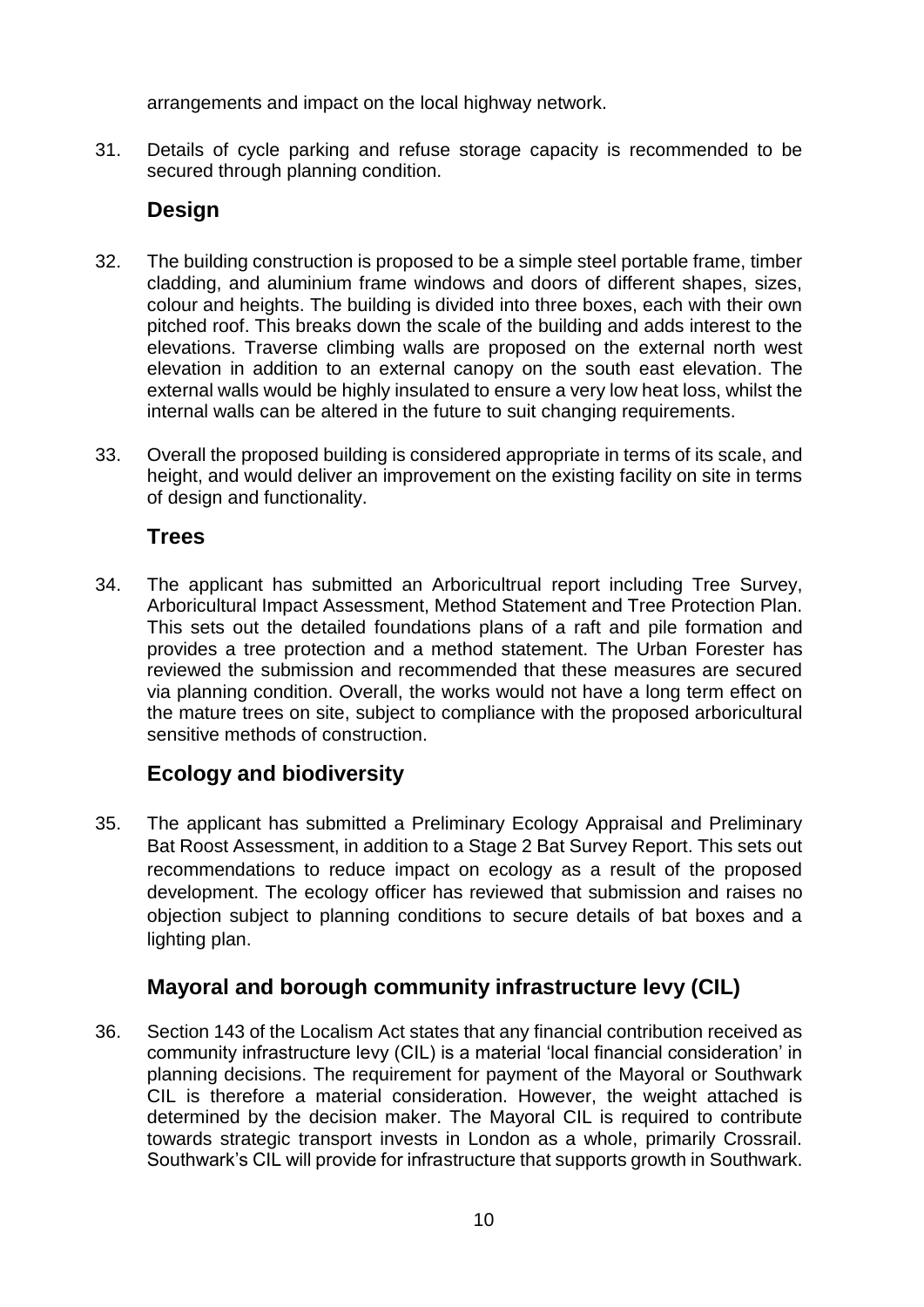arrangements and impact on the local highway network.

31. Details of cycle parking and refuse storage capacity is recommended to be secured through planning condition.

# <span id="page-9-0"></span>**Design**

- 32. The building construction is proposed to be a simple steel portable frame, timber cladding, and aluminium frame windows and doors of different shapes, sizes, colour and heights. The building is divided into three boxes, each with their own pitched roof. This breaks down the scale of the building and adds interest to the elevations. Traverse climbing walls are proposed on the external north west elevation in addition to an external canopy on the south east elevation. The external walls would be highly insulated to ensure a very low heat loss, whilst the internal walls can be altered in the future to suit changing requirements.
- 33. Overall the proposed building is considered appropriate in terms of its scale, and height, and would deliver an improvement on the existing facility on site in terms of design and functionality.

# <span id="page-9-1"></span>**Trees**

34. The applicant has submitted an Arboricultrual report including Tree Survey, Arboricultural Impact Assessment, Method Statement and Tree Protection Plan. This sets out the detailed foundations plans of a raft and pile formation and provides a tree protection and a method statement. The Urban Forester has reviewed the submission and recommended that these measures are secured via planning condition. Overall, the works would not have a long term effect on the mature trees on site, subject to compliance with the proposed arboricultural sensitive methods of construction.

# <span id="page-9-2"></span>**Ecology and biodiversity**

35. The applicant has submitted a Preliminary Ecology Appraisal and Preliminary Bat Roost Assessment, in addition to a Stage 2 Bat Survey Report. This sets out recommendations to reduce impact on ecology as a result of the proposed development. The ecology officer has reviewed that submission and raises no objection subject to planning conditions to secure details of bat boxes and a lighting plan.

# <span id="page-9-3"></span>**Mayoral and borough community infrastructure levy (CIL)**

36. Section 143 of the Localism Act states that any financial contribution received as community infrastructure levy (CIL) is a material 'local financial consideration' in planning decisions. The requirement for payment of the Mayoral or Southwark CIL is therefore a material consideration. However, the weight attached is determined by the decision maker. The Mayoral CIL is required to contribute towards strategic transport invests in London as a whole, primarily Crossrail. Southwark's CIL will provide for infrastructure that supports growth in Southwark.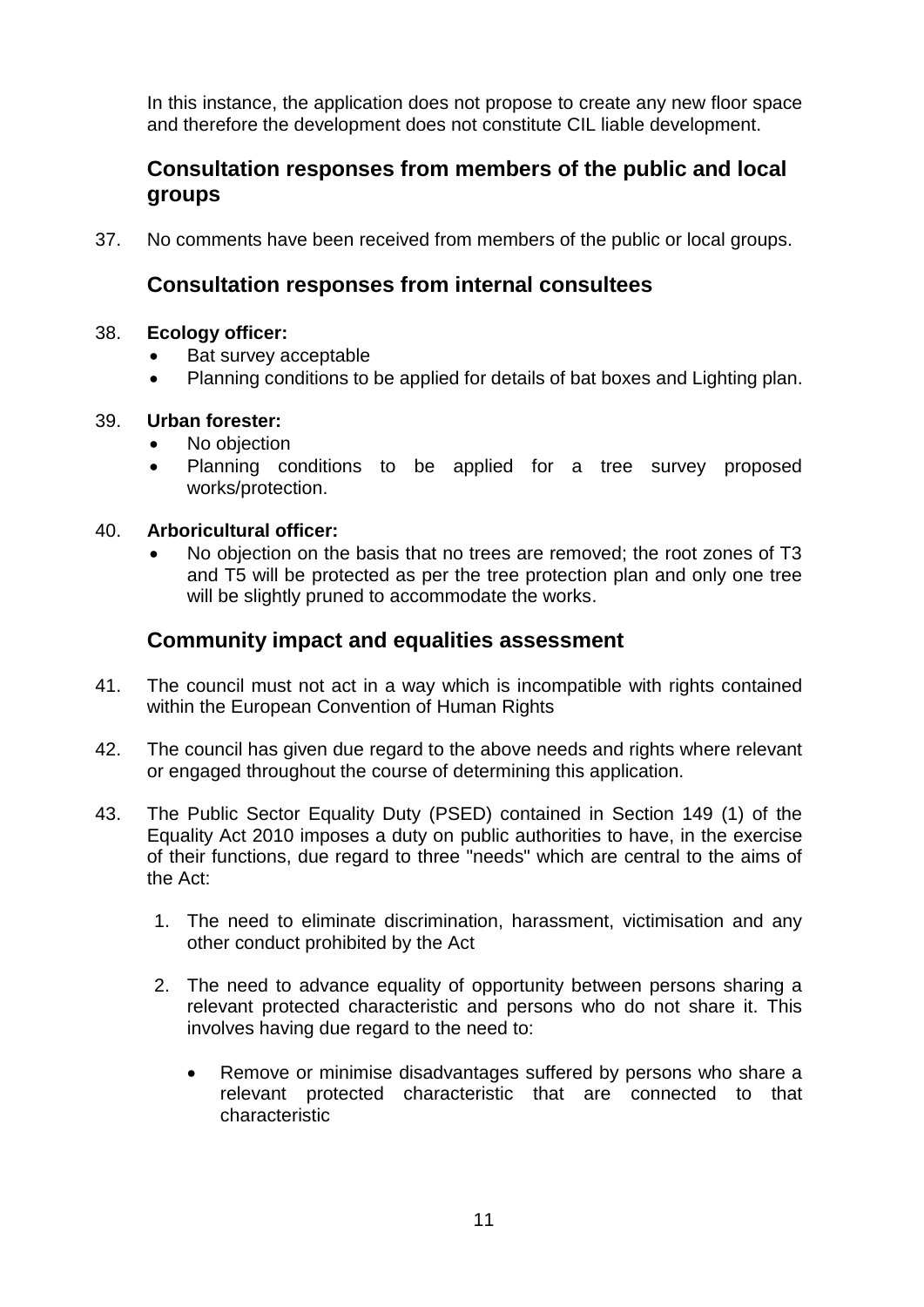In this instance, the application does not propose to create any new floor space and therefore the development does not constitute CIL liable development.

## <span id="page-10-0"></span>**Consultation responses from members of the public and local groups**

37. No comments have been received from members of the public or local groups.

## **Consultation responses from internal consultees**

#### 38. **Ecology officer:**

- Bat survey acceptable
- Planning conditions to be applied for details of bat boxes and Lighting plan.

#### 39. **Urban forester:**

- No objection
- Planning conditions to be applied for a tree survey proposed works/protection.

#### 40. **Arboricultural officer:**

 No objection on the basis that no trees are removed; the root zones of T3 and T5 will be protected as per the tree protection plan and only one tree will be slightly pruned to accommodate the works.

### <span id="page-10-1"></span>**Community impact and equalities assessment**

- 41. The council must not act in a way which is incompatible with rights contained within the European Convention of Human Rights
- 42. The council has given due regard to the above needs and rights where relevant or engaged throughout the course of determining this application.
- 43. The Public Sector Equality Duty (PSED) contained in Section 149 (1) of the Equality Act 2010 imposes a duty on public authorities to have, in the exercise of their functions, due regard to three "needs" which are central to the aims of the Act:
	- 1. The need to eliminate discrimination, harassment, victimisation and any other conduct prohibited by the Act
	- 2. The need to advance equality of opportunity between persons sharing a relevant protected characteristic and persons who do not share it. This involves having due regard to the need to:
		- Remove or minimise disadvantages suffered by persons who share a relevant protected characteristic that are connected to that characteristic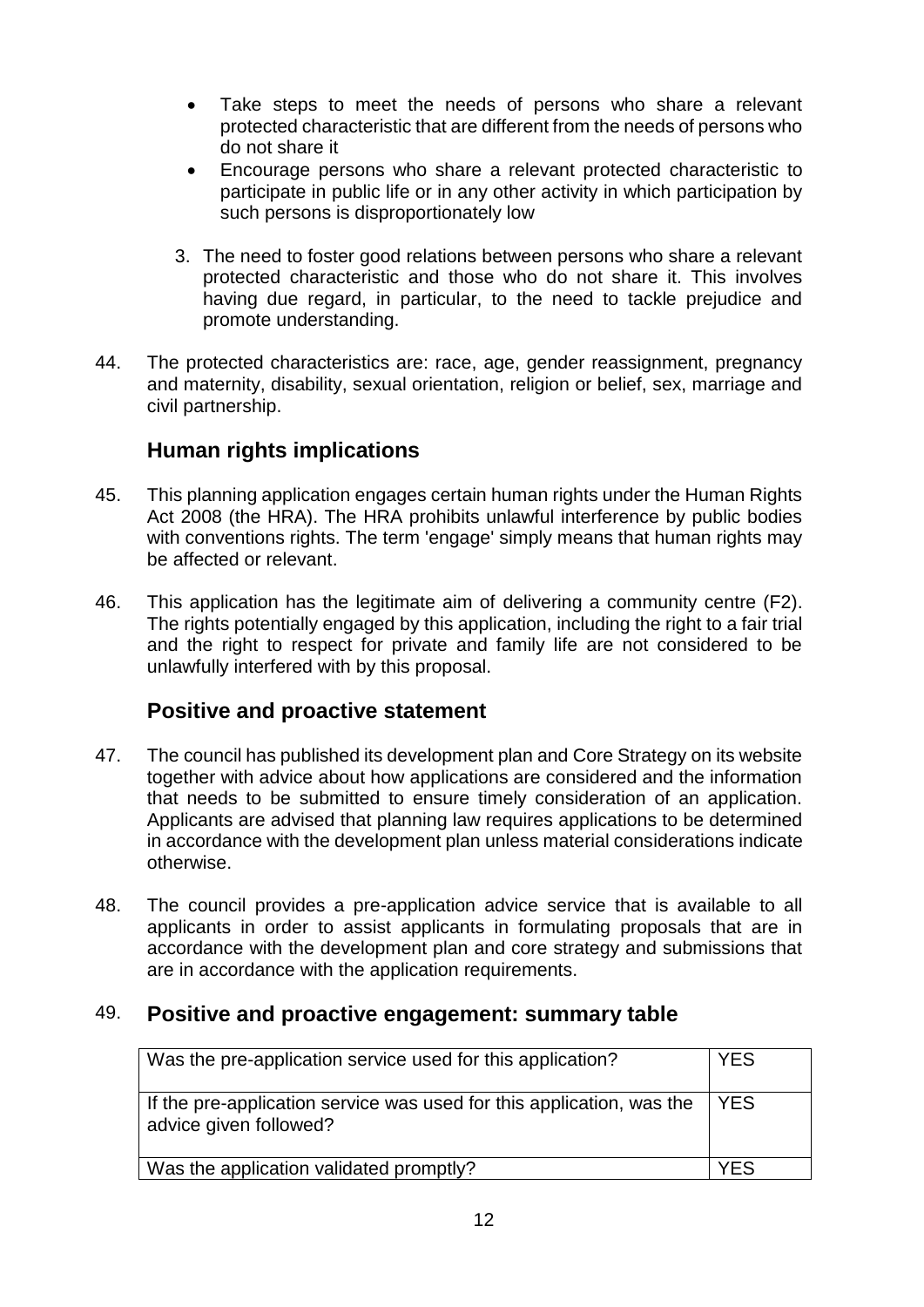- Take steps to meet the needs of persons who share a relevant protected characteristic that are different from the needs of persons who do not share it
- Encourage persons who share a relevant protected characteristic to participate in public life or in any other activity in which participation by such persons is disproportionately low
- 3. The need to foster good relations between persons who share a relevant protected characteristic and those who do not share it. This involves having due regard, in particular, to the need to tackle prejudice and promote understanding.
- 44. The protected characteristics are: race, age, gender reassignment, pregnancy and maternity, disability, sexual orientation, religion or belief, sex, marriage and civil partnership.

# <span id="page-11-0"></span>**Human rights implications**

- 45. This planning application engages certain human rights under the Human Rights Act 2008 (the HRA). The HRA prohibits unlawful interference by public bodies with conventions rights. The term 'engage' simply means that human rights may be affected or relevant.
- 46. This application has the legitimate aim of delivering a community centre (F2). The rights potentially engaged by this application, including the right to a fair trial and the right to respect for private and family life are not considered to be unlawfully interfered with by this proposal.

### <span id="page-11-1"></span>**Positive and proactive statement**

- 47. The council has published its development plan and Core Strategy on its website together with advice about how applications are considered and the information that needs to be submitted to ensure timely consideration of an application. Applicants are advised that planning law requires applications to be determined in accordance with the development plan unless material considerations indicate otherwise.
- 48. The council provides a pre-application advice service that is available to all applicants in order to assist applicants in formulating proposals that are in accordance with the development plan and core strategy and submissions that are in accordance with the application requirements.

## 49. **Positive and proactive engagement: summary table**

<span id="page-11-2"></span>

| Was the pre-application service used for this application?                                      | <b>YES</b> |
|-------------------------------------------------------------------------------------------------|------------|
| If the pre-application service was used for this application, was the<br>advice given followed? | <b>YES</b> |
| Was the application validated promptly?                                                         | YFS        |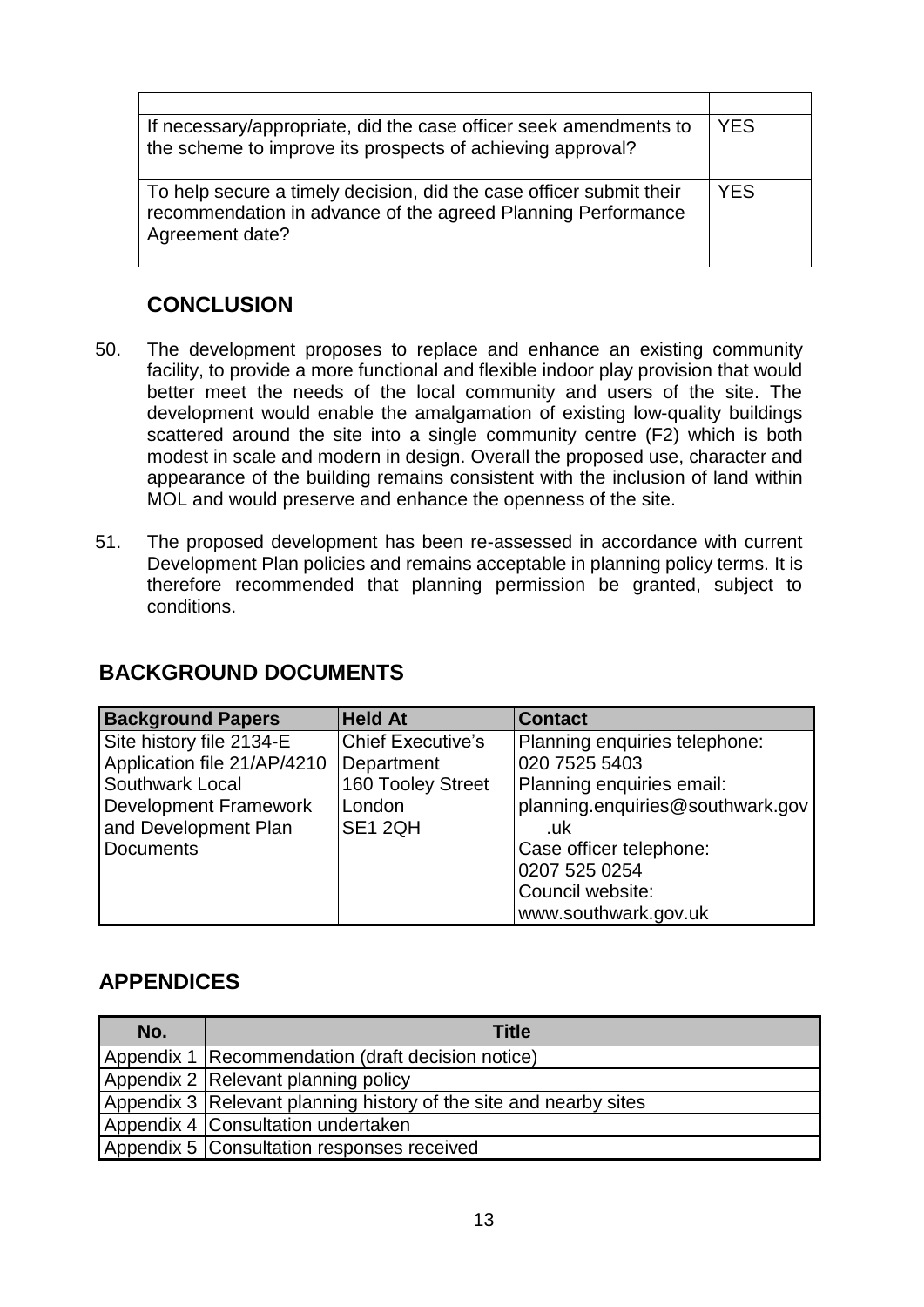| If necessary/appropriate, did the case officer seek amendments to<br>the scheme to improve its prospects of achieving approval?                        | <b>YES</b> |
|--------------------------------------------------------------------------------------------------------------------------------------------------------|------------|
| To help secure a timely decision, did the case officer submit their<br>recommendation in advance of the agreed Planning Performance<br>Agreement date? | <b>YES</b> |

# <span id="page-12-0"></span>**CONCLUSION**

- 50. The development proposes to replace and enhance an existing community facility, to provide a more functional and flexible indoor play provision that would better meet the needs of the local community and users of the site. The development would enable the amalgamation of existing low-quality buildings scattered around the site into a single community centre (F2) which is both modest in scale and modern in design. Overall the proposed use, character and appearance of the building remains consistent with the inclusion of land within MOL and would preserve and enhance the openness of the site.
- 51. The proposed development has been re-assessed in accordance with current Development Plan policies and remains acceptable in planning policy terms. It is therefore recommended that planning permission be granted, subject to conditions.

## <span id="page-12-1"></span>**BACKGROUND DOCUMENTS**

| <b>Background Papers</b>     | <b>Held At</b>           | <b>Contact</b>                   |
|------------------------------|--------------------------|----------------------------------|
| Site history file 2134-E     | <b>Chief Executive's</b> | Planning enquiries telephone:    |
| Application file 21/AP/4210  | Department               | 020 7525 5403                    |
| Southwark Local              | 160 Tooley Street        | Planning enquiries email:        |
| <b>Development Framework</b> | London                   | planning.enquiries@southwark.gov |
| and Development Plan         | SE1 2QH                  | .uk                              |
| <b>Documents</b>             |                          | Case officer telephone:          |
|                              |                          | 0207 525 0254                    |
|                              |                          | Council website:                 |
|                              |                          | www.southwark.gov.uk             |

## <span id="page-12-2"></span>**APPENDICES**

| No. | <b>Title</b>                                                      |
|-----|-------------------------------------------------------------------|
|     | Appendix 1   Recommendation (draft decision notice)               |
|     | Appendix 2 Relevant planning policy                               |
|     | Appendix 3 Relevant planning history of the site and nearby sites |
|     | Appendix 4   Consultation undertaken                              |
|     | Appendix 5   Consultation responses received                      |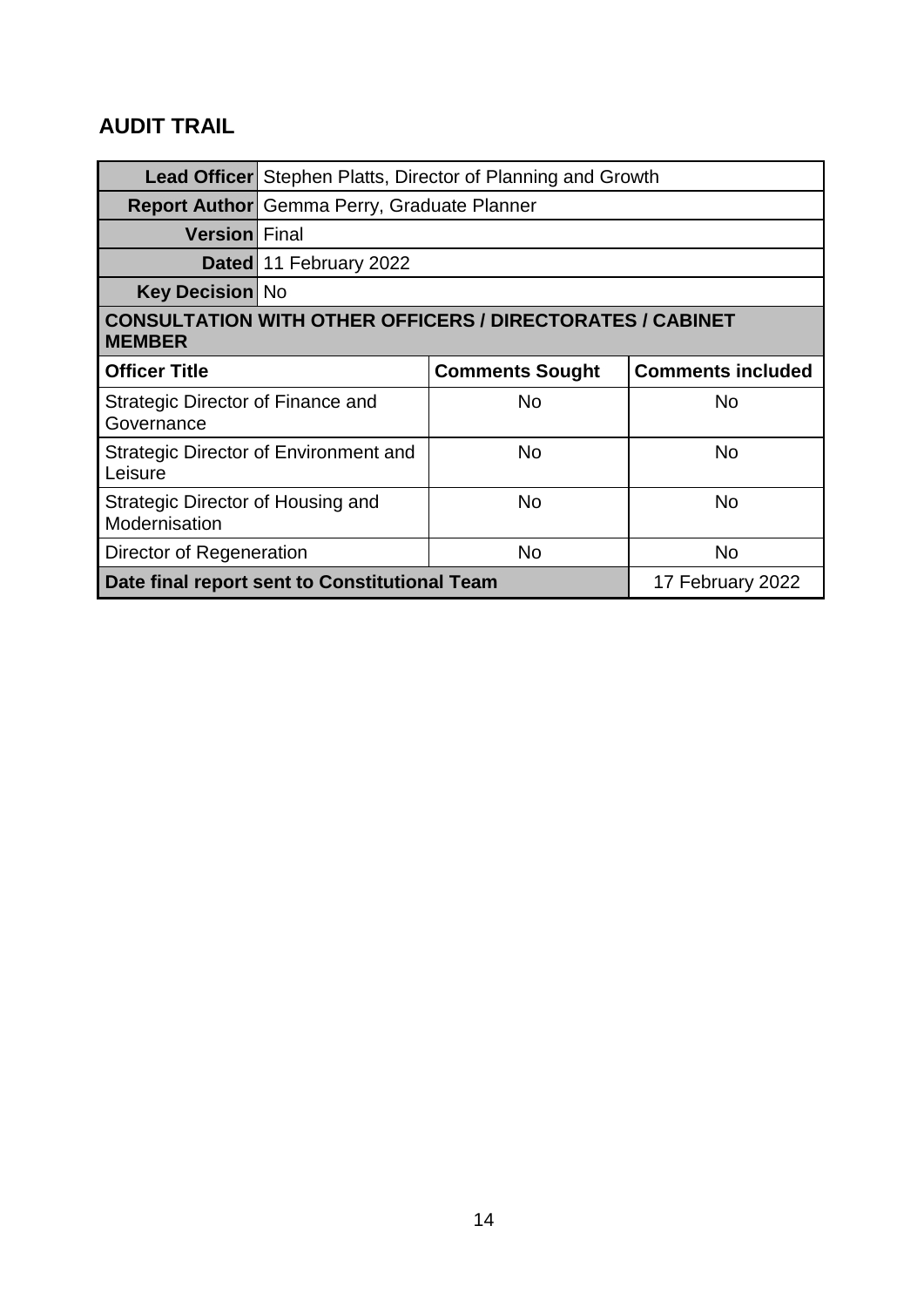# <span id="page-13-0"></span>**AUDIT TRAIL**

|                                                                                   | <b>Lead Officer</b> Stephen Platts, Director of Planning and Growth |                        |                          |
|-----------------------------------------------------------------------------------|---------------------------------------------------------------------|------------------------|--------------------------|
|                                                                                   | <b>Report Author</b> Gemma Perry, Graduate Planner                  |                        |                          |
| <b>Version</b> Final                                                              |                                                                     |                        |                          |
|                                                                                   | Dated 11 February 2022                                              |                        |                          |
| <b>Key Decision No</b>                                                            |                                                                     |                        |                          |
| <b>CONSULTATION WITH OTHER OFFICERS / DIRECTORATES / CABINET</b><br><b>MEMBER</b> |                                                                     |                        |                          |
| <b>Officer Title</b>                                                              |                                                                     | <b>Comments Sought</b> | <b>Comments included</b> |
| Strategic Director of Finance and<br>Governance                                   |                                                                     | <b>No</b>              | <b>No</b>                |
| Leisure                                                                           | <b>Strategic Director of Environment and</b>                        | No                     | No                       |
| Strategic Director of Housing and<br>Modernisation                                |                                                                     | No                     | <b>No</b>                |
| Director of Regeneration                                                          |                                                                     | <b>No</b>              | <b>No</b>                |
|                                                                                   |                                                                     |                        |                          |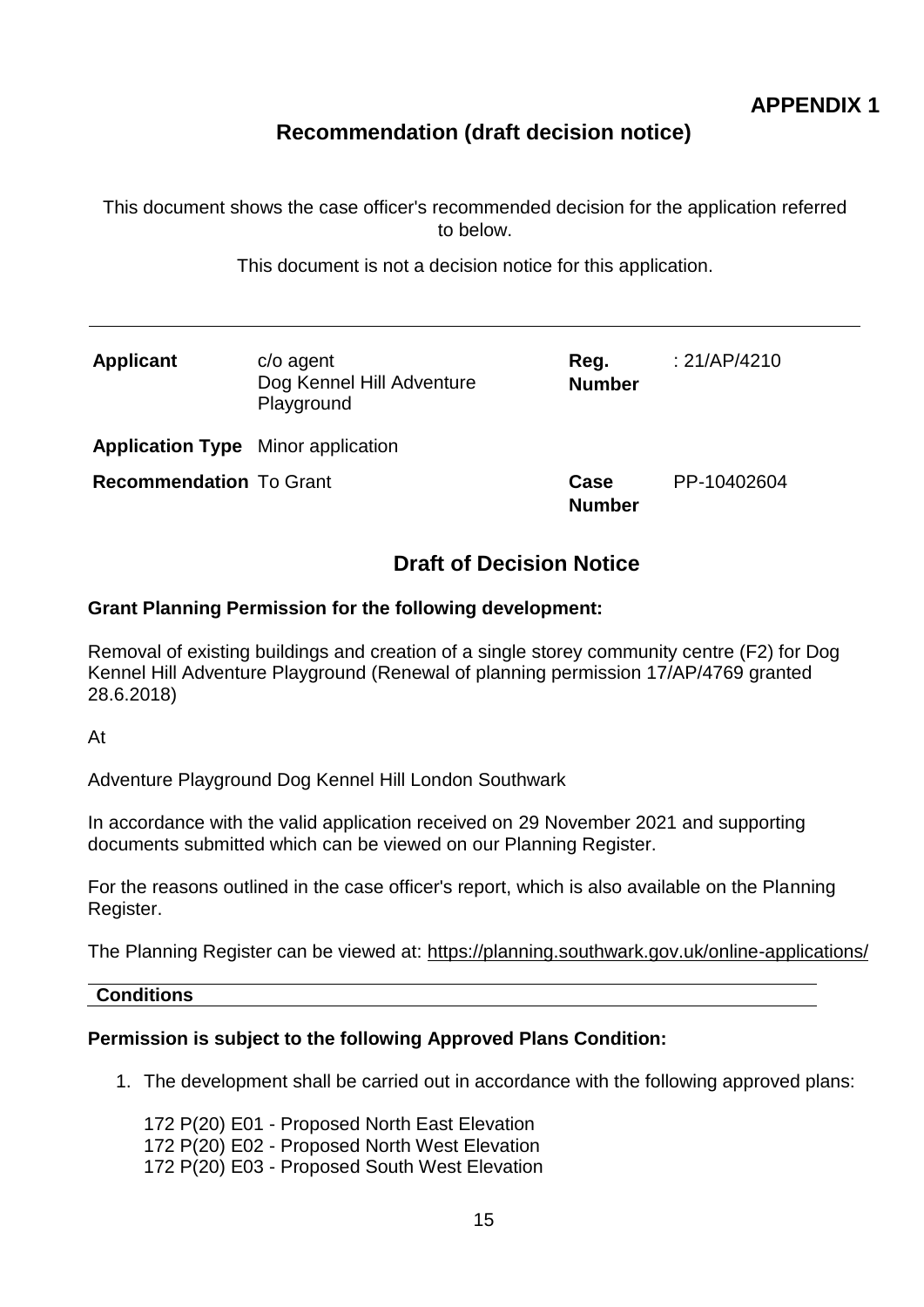# **Recommendation (draft decision notice)**

This document shows the case officer's recommended decision for the application referred to below.

This document is not a decision notice for this application.

| <b>Applicant</b>                          | $c$ / $o$ agent<br>Dog Kennel Hill Adventure<br>Playground | Reg.<br><b>Number</b> | : $21/AP/4210$ |
|-------------------------------------------|------------------------------------------------------------|-----------------------|----------------|
| <b>Application Type</b> Minor application |                                                            |                       |                |
| <b>Recommendation To Grant</b>            |                                                            | Case<br><b>Number</b> | PP-10402604    |

## **Draft of Decision Notice**

#### <span id="page-14-0"></span>**Grant Planning Permission for the following development:**

Removal of existing buildings and creation of a single storey community centre (F2) for Dog Kennel Hill Adventure Playground (Renewal of planning permission 17/AP/4769 granted 28.6.2018)

At

Adventure Playground Dog Kennel Hill London Southwark

In accordance with the valid application received on 29 November 2021 and supporting documents submitted which can be viewed on our Planning Register.

For the reasons outlined in the case officer's report, which is also available on the Planning Register.

The Planning Register can be viewed at: [https://planning.southwark.gov.uk/online-applications/](file:///D:/idox/uniform/live/temp/https:/planning.southwark.gov.uk/online-applications/)

#### **Conditions**

#### **Permission is subject to the following Approved Plans Condition:**

1. The development shall be carried out in accordance with the following approved plans:

172 P(20) E01 - Proposed North East Elevation 172 P(20) E02 - Proposed North West Elevation 172 P(20) E03 - Proposed South West Elevation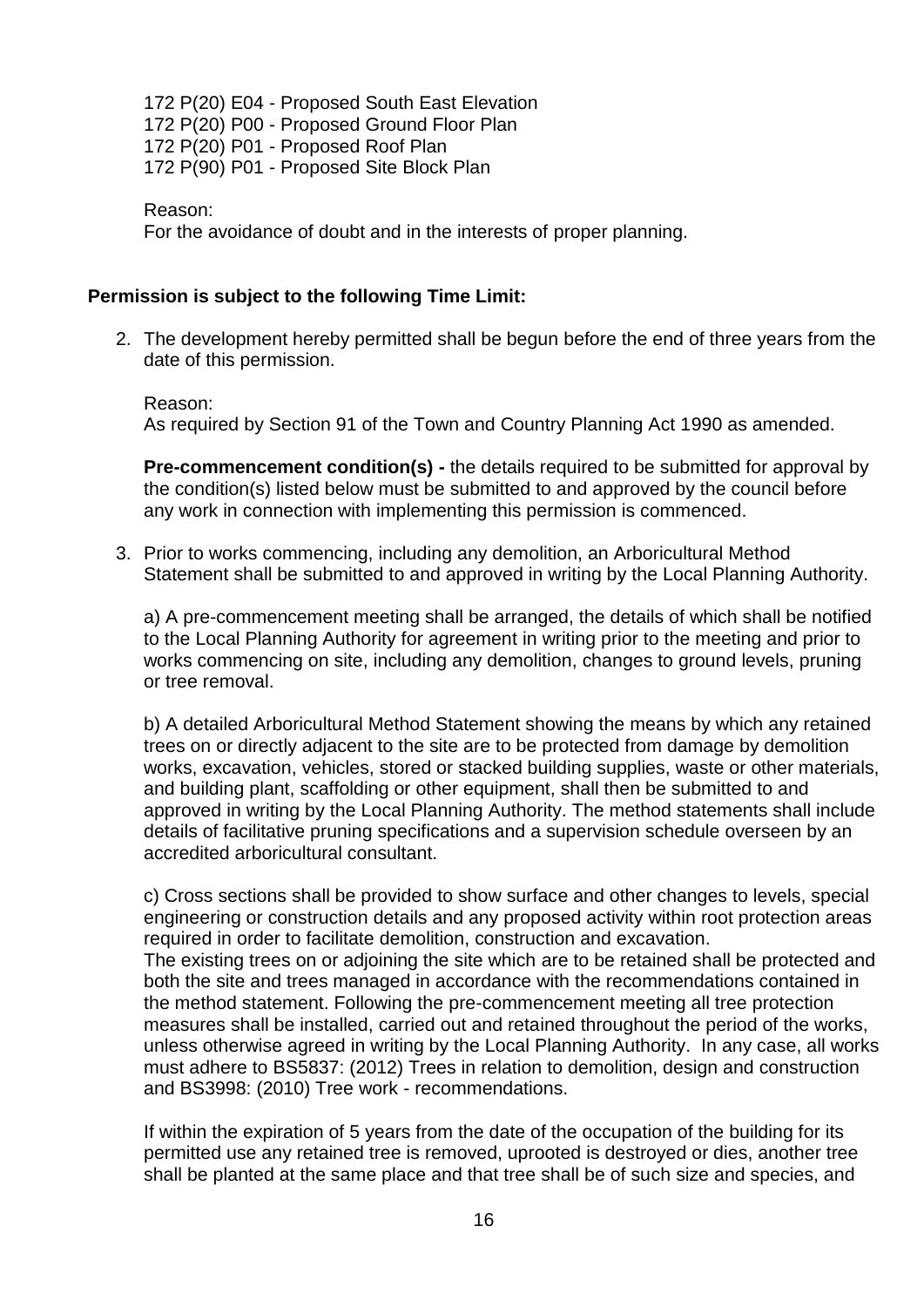172 P(20) E04 - Proposed South East Elevation 172 P(20) P00 - Proposed Ground Floor Plan 172 P(20) P01 - Proposed Roof Plan 172 P(90) P01 - Proposed Site Block Plan

Reason:

For the avoidance of doubt and in the interests of proper planning.

#### **Permission is subject to the following Time Limit:**

2. The development hereby permitted shall be begun before the end of three years from the date of this permission.

Reason: As required by Section 91 of the Town and Country Planning Act 1990 as amended.

**Pre-commencement condition(s) -** the details required to be submitted for approval by the condition(s) listed below must be submitted to and approved by the council before any work in connection with implementing this permission is commenced.

3. Prior to works commencing, including any demolition, an Arboricultural Method Statement shall be submitted to and approved in writing by the Local Planning Authority.

a) A pre-commencement meeting shall be arranged, the details of which shall be notified to the Local Planning Authority for agreement in writing prior to the meeting and prior to works commencing on site, including any demolition, changes to ground levels, pruning or tree removal.

b) A detailed Arboricultural Method Statement showing the means by which any retained trees on or directly adjacent to the site are to be protected from damage by demolition works, excavation, vehicles, stored or stacked building supplies, waste or other materials, and building plant, scaffolding or other equipment, shall then be submitted to and approved in writing by the Local Planning Authority. The method statements shall include details of facilitative pruning specifications and a supervision schedule overseen by an accredited arboricultural consultant.

c) Cross sections shall be provided to show surface and other changes to levels, special engineering or construction details and any proposed activity within root protection areas required in order to facilitate demolition, construction and excavation. The existing trees on or adjoining the site which are to be retained shall be protected and

both the site and trees managed in accordance with the recommendations contained in the method statement. Following the pre-commencement meeting all tree protection measures shall be installed, carried out and retained throughout the period of the works, unless otherwise agreed in writing by the Local Planning Authority. In any case, all works must adhere to BS5837: (2012) Trees in relation to demolition, design and construction and BS3998: (2010) Tree work - recommendations.

If within the expiration of 5 years from the date of the occupation of the building for its permitted use any retained tree is removed, uprooted is destroyed or dies, another tree shall be planted at the same place and that tree shall be of such size and species, and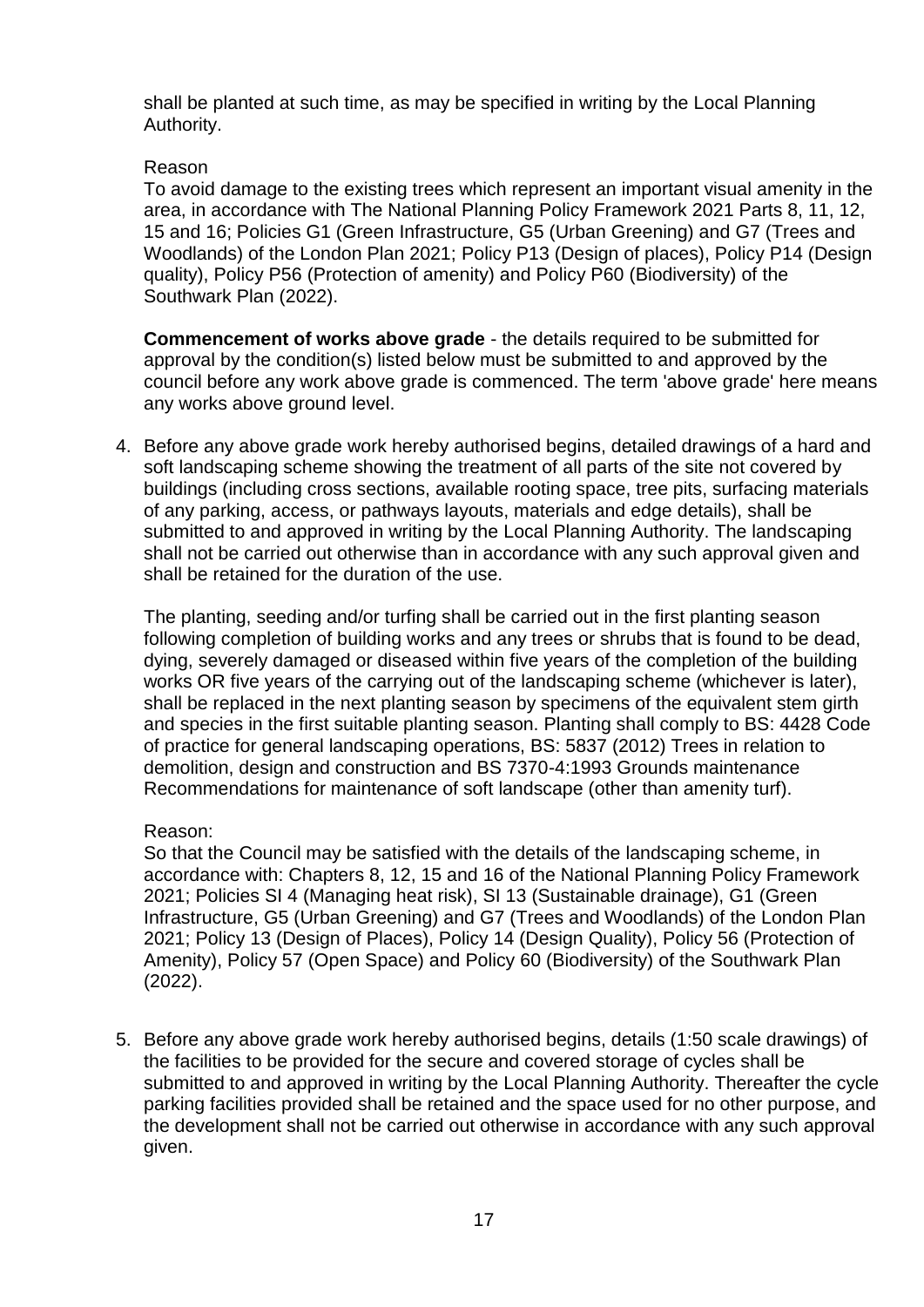shall be planted at such time, as may be specified in writing by the Local Planning Authority.

#### Reason

To avoid damage to the existing trees which represent an important visual amenity in the area, in accordance with The National Planning Policy Framework 2021 Parts 8, 11, 12, 15 and 16; Policies G1 (Green Infrastructure, G5 (Urban Greening) and G7 (Trees and Woodlands) of the London Plan 2021; Policy P13 (Design of places), Policy P14 (Design quality), Policy P56 (Protection of amenity) and Policy P60 (Biodiversity) of the Southwark Plan (2022).

**Commencement of works above grade** - the details required to be submitted for approval by the condition(s) listed below must be submitted to and approved by the council before any work above grade is commenced. The term 'above grade' here means any works above ground level.

4. Before any above grade work hereby authorised begins, detailed drawings of a hard and soft landscaping scheme showing the treatment of all parts of the site not covered by buildings (including cross sections, available rooting space, tree pits, surfacing materials of any parking, access, or pathways layouts, materials and edge details), shall be submitted to and approved in writing by the Local Planning Authority. The landscaping shall not be carried out otherwise than in accordance with any such approval given and shall be retained for the duration of the use.

The planting, seeding and/or turfing shall be carried out in the first planting season following completion of building works and any trees or shrubs that is found to be dead, dying, severely damaged or diseased within five years of the completion of the building works OR five years of the carrying out of the landscaping scheme (whichever is later), shall be replaced in the next planting season by specimens of the equivalent stem girth and species in the first suitable planting season. Planting shall comply to BS: 4428 Code of practice for general landscaping operations, BS: 5837 (2012) Trees in relation to demolition, design and construction and BS 7370-4:1993 Grounds maintenance Recommendations for maintenance of soft landscape (other than amenity turf).

#### Reason:

So that the Council may be satisfied with the details of the landscaping scheme, in accordance with: Chapters 8, 12, 15 and 16 of the National Planning Policy Framework 2021; Policies SI 4 (Managing heat risk), SI 13 (Sustainable drainage), G1 (Green Infrastructure, G5 (Urban Greening) and G7 (Trees and Woodlands) of the London Plan 2021; Policy 13 (Design of Places), Policy 14 (Design Quality), Policy 56 (Protection of Amenity), Policy 57 (Open Space) and Policy 60 (Biodiversity) of the Southwark Plan (2022).

5. Before any above grade work hereby authorised begins, details (1:50 scale drawings) of the facilities to be provided for the secure and covered storage of cycles shall be submitted to and approved in writing by the Local Planning Authority. Thereafter the cycle parking facilities provided shall be retained and the space used for no other purpose, and the development shall not be carried out otherwise in accordance with any such approval given.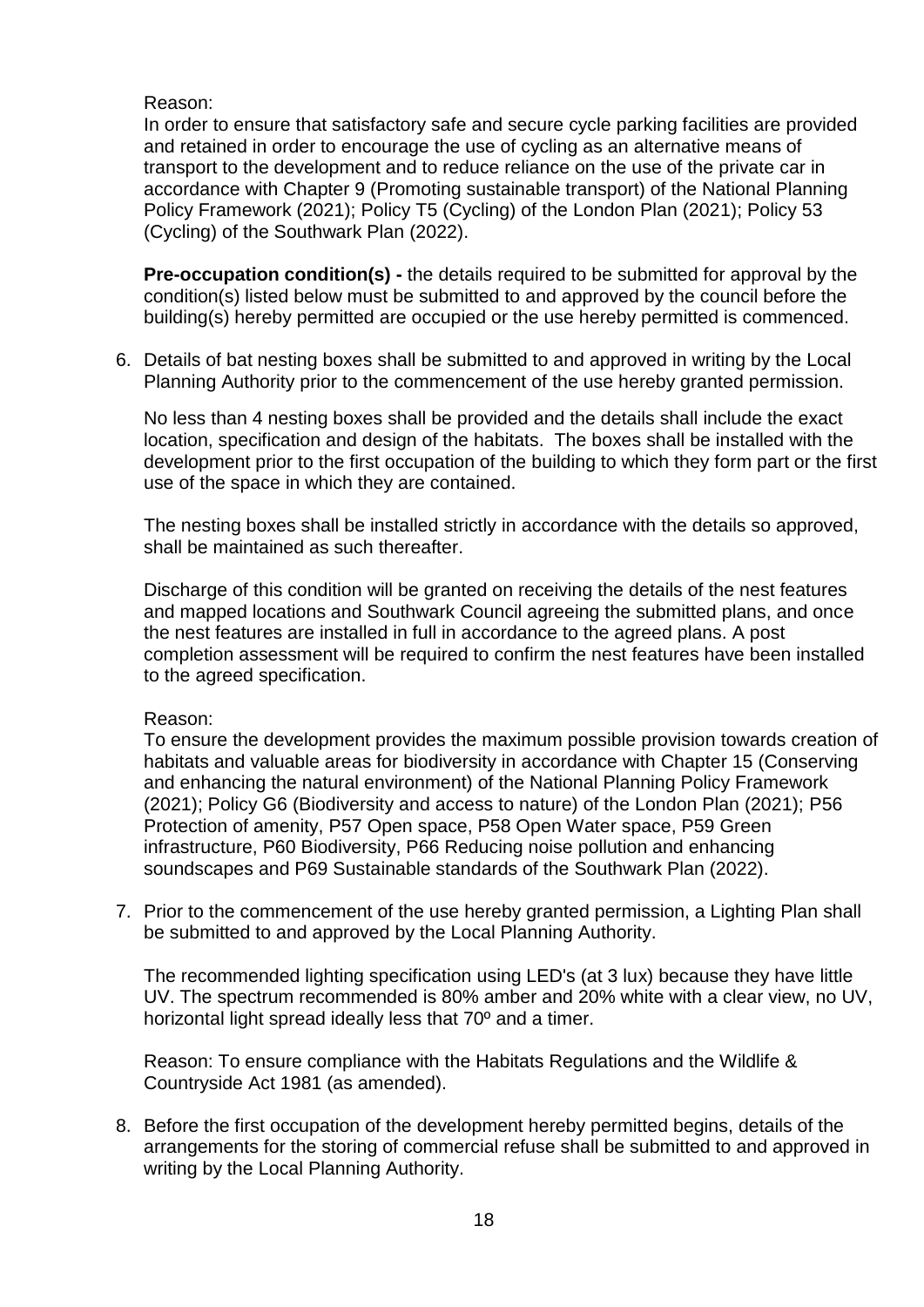Reason:

In order to ensure that satisfactory safe and secure cycle parking facilities are provided and retained in order to encourage the use of cycling as an alternative means of transport to the development and to reduce reliance on the use of the private car in accordance with Chapter 9 (Promoting sustainable transport) of the National Planning Policy Framework (2021); Policy T5 (Cycling) of the London Plan (2021); Policy 53 (Cycling) of the Southwark Plan (2022).

**Pre-occupation condition(s) -** the details required to be submitted for approval by the condition(s) listed below must be submitted to and approved by the council before the building(s) hereby permitted are occupied or the use hereby permitted is commenced.

6. Details of bat nesting boxes shall be submitted to and approved in writing by the Local Planning Authority prior to the commencement of the use hereby granted permission.

No less than 4 nesting boxes shall be provided and the details shall include the exact location, specification and design of the habitats. The boxes shall be installed with the development prior to the first occupation of the building to which they form part or the first use of the space in which they are contained.

The nesting boxes shall be installed strictly in accordance with the details so approved, shall be maintained as such thereafter.

Discharge of this condition will be granted on receiving the details of the nest features and mapped locations and Southwark Council agreeing the submitted plans, and once the nest features are installed in full in accordance to the agreed plans. A post completion assessment will be required to confirm the nest features have been installed to the agreed specification.

#### Reason:

To ensure the development provides the maximum possible provision towards creation of habitats and valuable areas for biodiversity in accordance with Chapter 15 (Conserving and enhancing the natural environment) of the National Planning Policy Framework (2021); Policy G6 (Biodiversity and access to nature) of the London Plan (2021); P56 Protection of amenity, P57 Open space, P58 Open Water space, P59 Green infrastructure, P60 Biodiversity, P66 Reducing noise pollution and enhancing soundscapes and P69 Sustainable standards of the Southwark Plan (2022).

7. Prior to the commencement of the use hereby granted permission, a Lighting Plan shall be submitted to and approved by the Local Planning Authority.

The recommended lighting specification using LED's (at 3 lux) because they have little UV. The spectrum recommended is 80% amber and 20% white with a clear view, no UV, horizontal light spread ideally less that 70º and a timer.

Reason: To ensure compliance with the Habitats Regulations and the Wildlife & Countryside Act 1981 (as amended).

8. Before the first occupation of the development hereby permitted begins, details of the arrangements for the storing of commercial refuse shall be submitted to and approved in writing by the Local Planning Authority.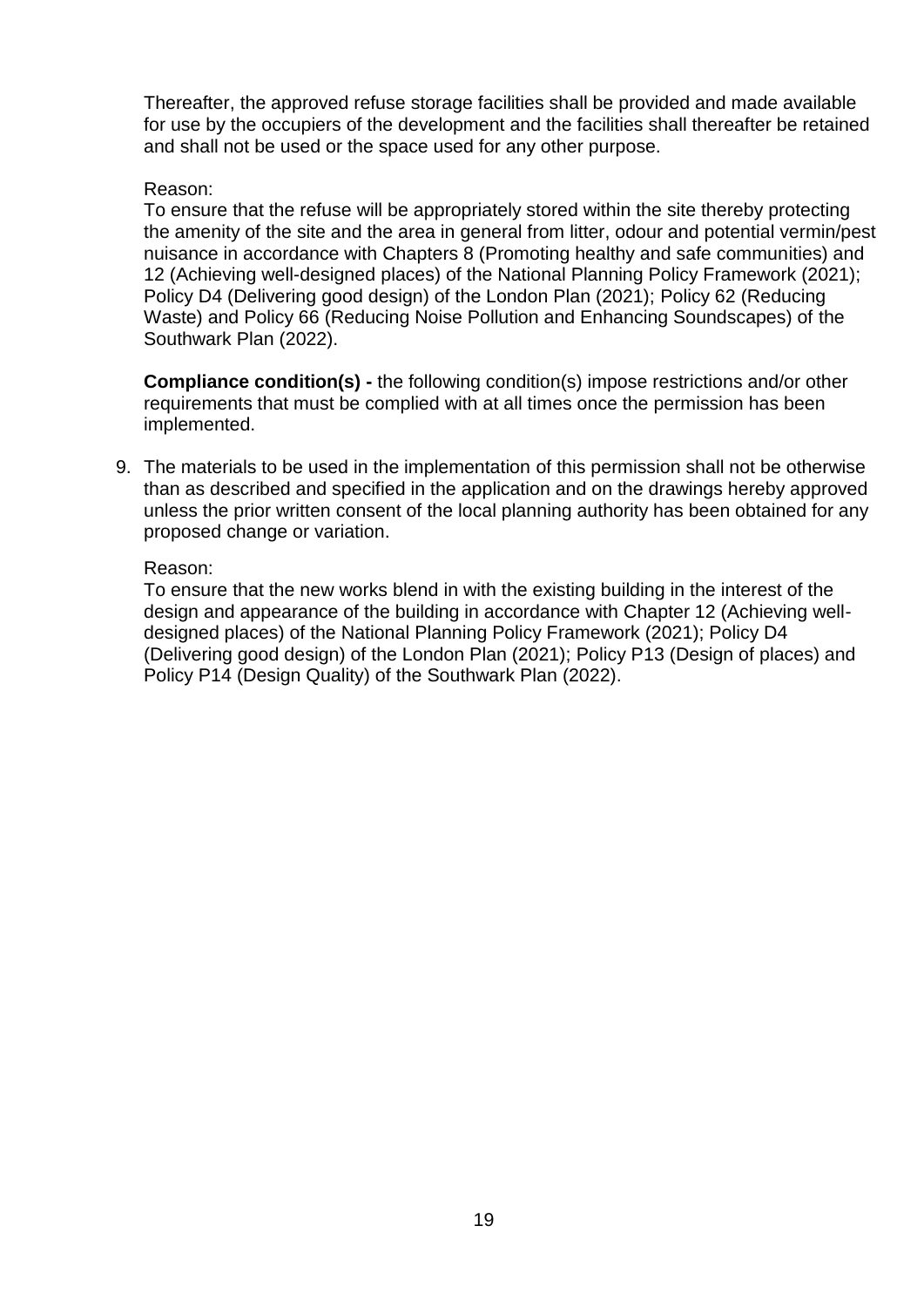Thereafter, the approved refuse storage facilities shall be provided and made available for use by the occupiers of the development and the facilities shall thereafter be retained and shall not be used or the space used for any other purpose.

#### Reason:

To ensure that the refuse will be appropriately stored within the site thereby protecting the amenity of the site and the area in general from litter, odour and potential vermin/pest nuisance in accordance with Chapters 8 (Promoting healthy and safe communities) and 12 (Achieving well-designed places) of the National Planning Policy Framework (2021); Policy D4 (Delivering good design) of the London Plan (2021); Policy 62 (Reducing Waste) and Policy 66 (Reducing Noise Pollution and Enhancing Soundscapes) of the Southwark Plan (2022).

**Compliance condition(s) -** the following condition(s) impose restrictions and/or other requirements that must be complied with at all times once the permission has been implemented.

9. The materials to be used in the implementation of this permission shall not be otherwise than as described and specified in the application and on the drawings hereby approved unless the prior written consent of the local planning authority has been obtained for any proposed change or variation.

#### Reason:

To ensure that the new works blend in with the existing building in the interest of the design and appearance of the building in accordance with Chapter 12 (Achieving welldesigned places) of the National Planning Policy Framework (2021); Policy D4 (Delivering good design) of the London Plan (2021); Policy P13 (Design of places) and Policy P14 (Design Quality) of the Southwark Plan (2022).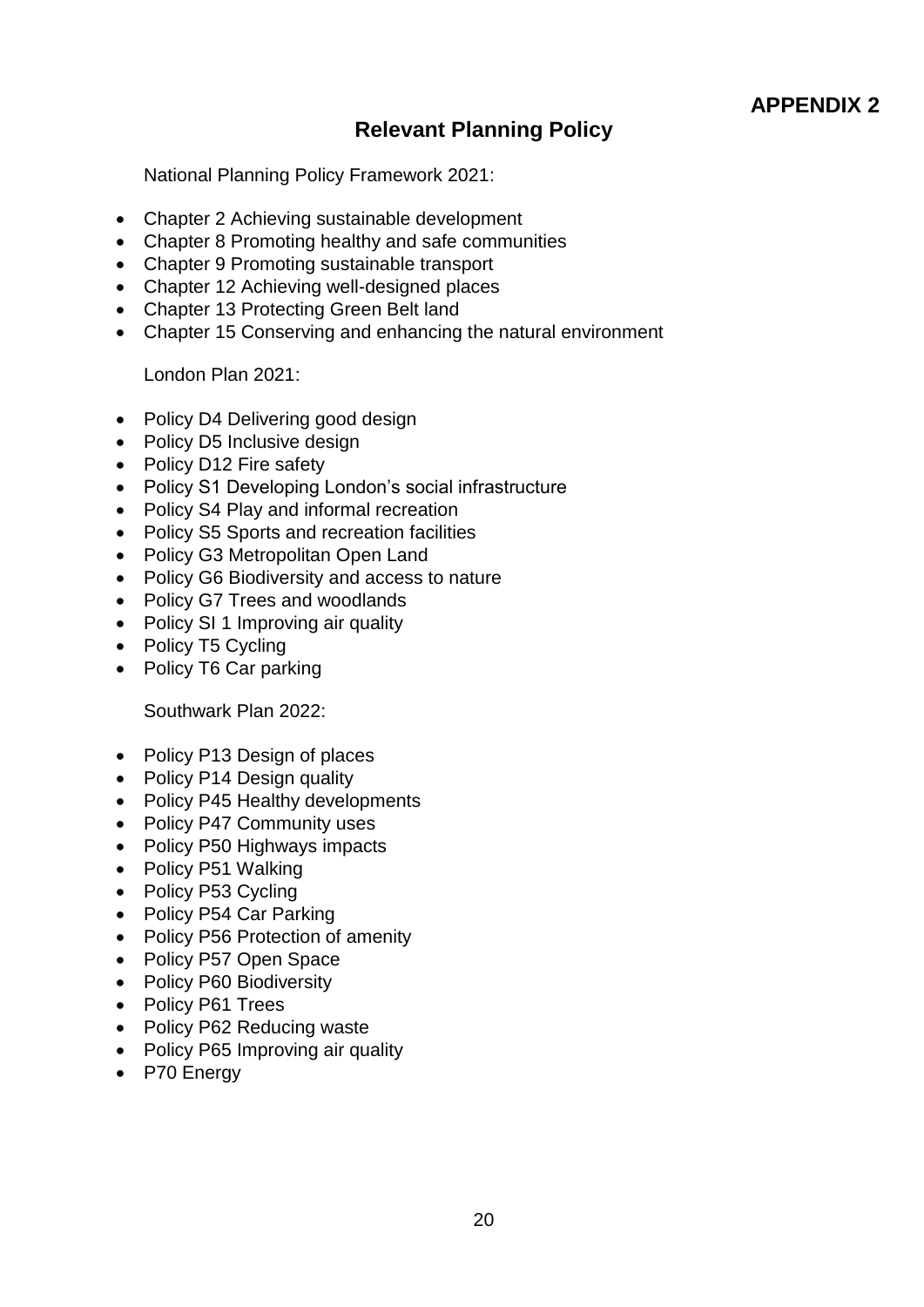# **Relevant Planning Policy**

National Planning Policy Framework 2021:

- Chapter 2 Achieving sustainable development
- Chapter 8 Promoting healthy and safe communities
- Chapter 9 Promoting sustainable transport
- Chapter 12 Achieving well-designed places
- Chapter 13 Protecting Green Belt land
- Chapter 15 Conserving and enhancing the natural environment

London Plan 2021:

- Policy D4 Delivering good design
- Policy D5 Inclusive design
- Policy D12 Fire safety
- Policy S1 Developing London's social infrastructure
- Policy S4 Play and informal recreation
- Policy S5 Sports and recreation facilities
- Policy G3 Metropolitan Open Land
- Policy G6 Biodiversity and access to nature
- Policy G7 Trees and woodlands
- Policy SI 1 Improving air quality
- Policy T5 Cycling
- Policy T6 Car parking

Southwark Plan 2022:

- Policy P13 Design of places
- Policy P14 Design quality
- Policy P45 Healthy developments
- Policy P47 Community uses
- Policy P50 Highways impacts
- Policy P51 Walking
- Policy P53 Cycling
- Policy P54 Car Parking
- Policy P56 Protection of amenity
- Policy P57 Open Space
- Policy P60 Biodiversity
- Policy P61 Trees
- Policy P62 Reducing waste
- Policy P65 Improving air quality
- P70 Energy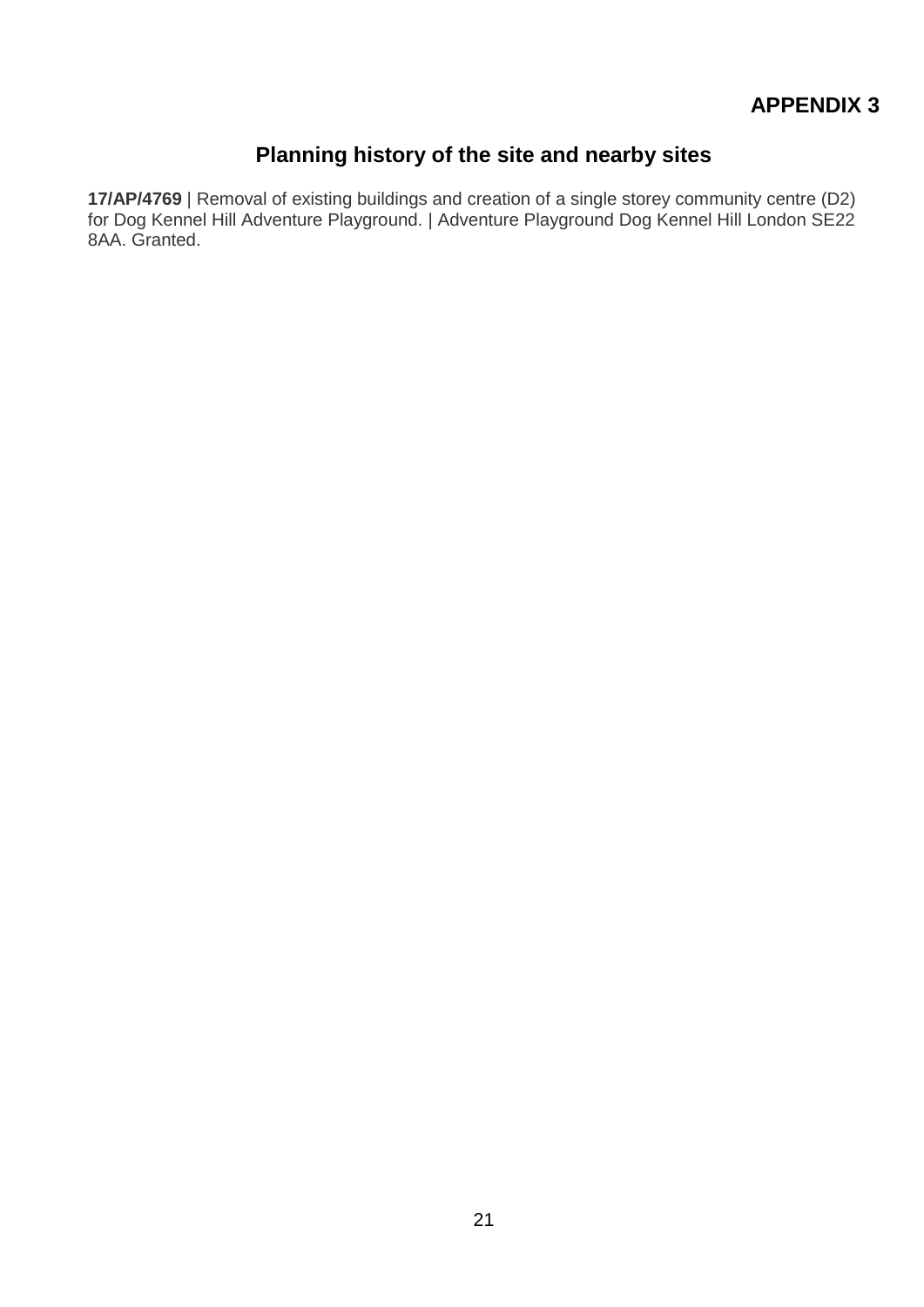# **APPENDIX 3**

# **Planning history of the site and nearby sites**

**17/AP/4769** | Removal of existing buildings and creation of a single storey community centre (D2) for Dog Kennel Hill Adventure Playground. | Adventure Playground Dog Kennel Hill London SE22 8AA. Granted.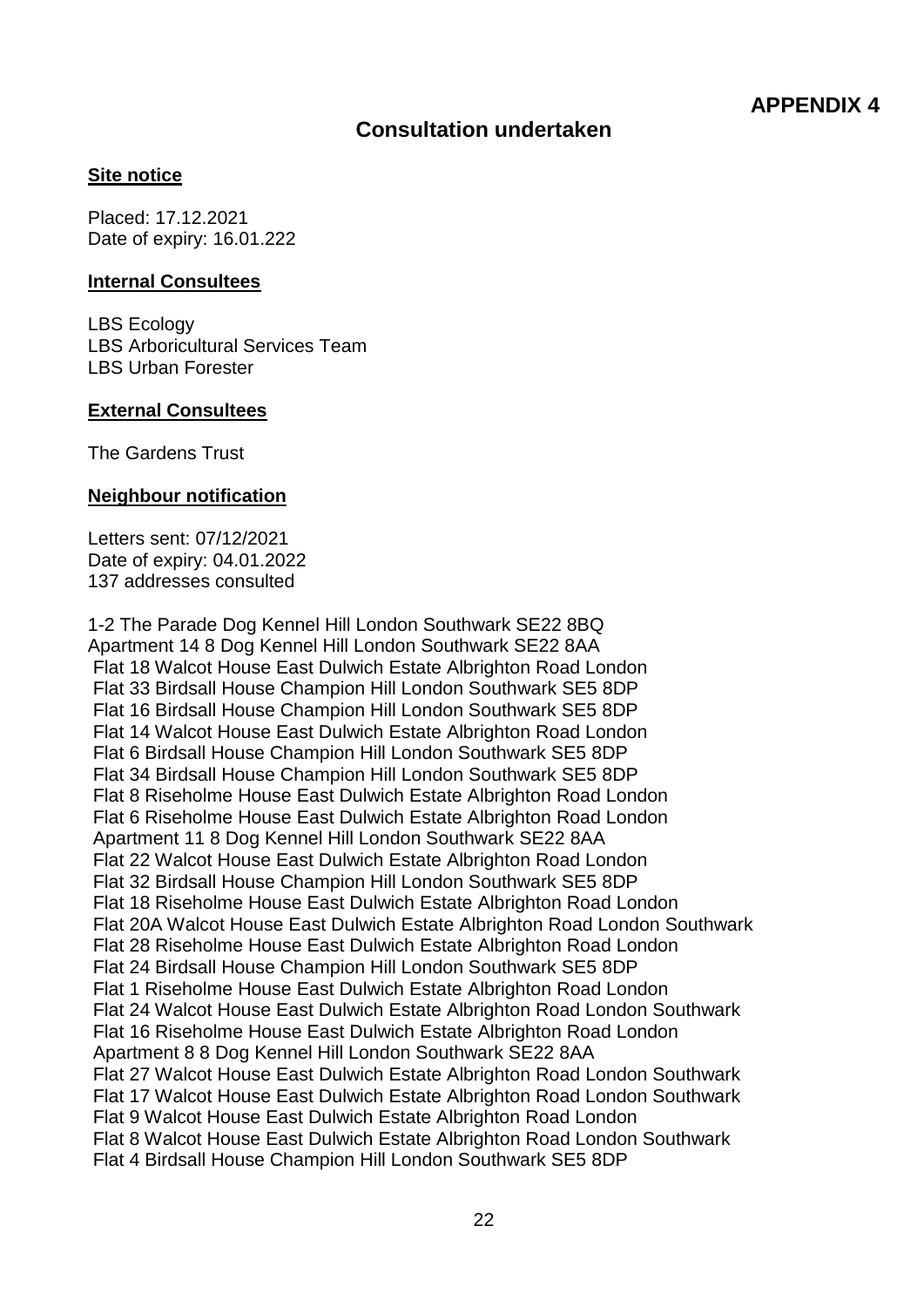## **Consultation undertaken**

#### **Site notice**

Placed: 17.12.2021 Date of expiry: 16.01.222

#### **Internal Consultees**

LBS Ecology LBS Arboricultural Services Team LBS Urban Forester

#### **External Consultees**

The Gardens Trust

#### **Neighbour notification**

Letters sent: 07/12/2021 Date of expiry: 04.01.2022 137 addresses consulted

1-2 The Parade Dog Kennel Hill London Southwark SE22 8BQ Apartment 14 8 Dog Kennel Hill London Southwark SE22 8AA Flat 18 Walcot House East Dulwich Estate Albrighton Road London Flat 33 Birdsall House Champion Hill London Southwark SE5 8DP Flat 16 Birdsall House Champion Hill London Southwark SE5 8DP Flat 14 Walcot House East Dulwich Estate Albrighton Road London Flat 6 Birdsall House Champion Hill London Southwark SE5 8DP Flat 34 Birdsall House Champion Hill London Southwark SE5 8DP Flat 8 Riseholme House East Dulwich Estate Albrighton Road London Flat 6 Riseholme House East Dulwich Estate Albrighton Road London Apartment 11 8 Dog Kennel Hill London Southwark SE22 8AA Flat 22 Walcot House East Dulwich Estate Albrighton Road London Flat 32 Birdsall House Champion Hill London Southwark SE5 8DP Flat 18 Riseholme House East Dulwich Estate Albrighton Road London Flat 20A Walcot House East Dulwich Estate Albrighton Road London Southwark Flat 28 Riseholme House East Dulwich Estate Albrighton Road London Flat 24 Birdsall House Champion Hill London Southwark SE5 8DP Flat 1 Riseholme House East Dulwich Estate Albrighton Road London Flat 24 Walcot House East Dulwich Estate Albrighton Road London Southwark Flat 16 Riseholme House East Dulwich Estate Albrighton Road London Apartment 8 8 Dog Kennel Hill London Southwark SE22 8AA Flat 27 Walcot House East Dulwich Estate Albrighton Road London Southwark Flat 17 Walcot House East Dulwich Estate Albrighton Road London Southwark Flat 9 Walcot House East Dulwich Estate Albrighton Road London Flat 8 Walcot House East Dulwich Estate Albrighton Road London Southwark Flat 4 Birdsall House Champion Hill London Southwark SE5 8DP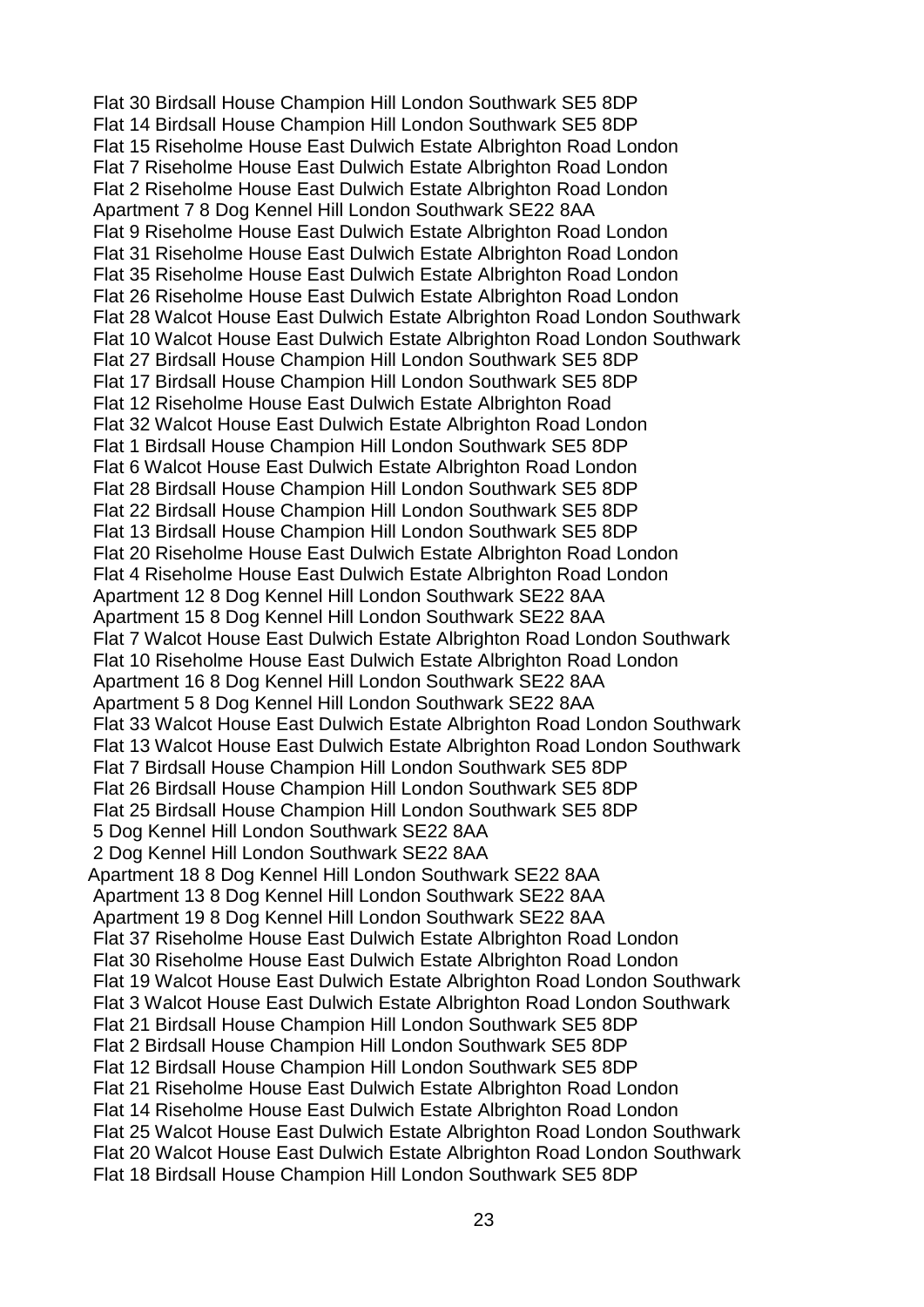Flat 30 Birdsall House Champion Hill London Southwark SE5 8DP Flat 14 Birdsall House Champion Hill London Southwark SE5 8DP Flat 15 Riseholme House East Dulwich Estate Albrighton Road London Flat 7 Riseholme House East Dulwich Estate Albrighton Road London Flat 2 Riseholme House East Dulwich Estate Albrighton Road London Apartment 7 8 Dog Kennel Hill London Southwark SE22 8AA Flat 9 Riseholme House East Dulwich Estate Albrighton Road London Flat 31 Riseholme House East Dulwich Estate Albrighton Road London Flat 35 Riseholme House East Dulwich Estate Albrighton Road London Flat 26 Riseholme House East Dulwich Estate Albrighton Road London Flat 28 Walcot House East Dulwich Estate Albrighton Road London Southwark Flat 10 Walcot House East Dulwich Estate Albrighton Road London Southwark Flat 27 Birdsall House Champion Hill London Southwark SE5 8DP Flat 17 Birdsall House Champion Hill London Southwark SE5 8DP Flat 12 Riseholme House East Dulwich Estate Albrighton Road Flat 32 Walcot House East Dulwich Estate Albrighton Road London Flat 1 Birdsall House Champion Hill London Southwark SE5 8DP Flat 6 Walcot House East Dulwich Estate Albrighton Road London Flat 28 Birdsall House Champion Hill London Southwark SE5 8DP Flat 22 Birdsall House Champion Hill London Southwark SE5 8DP Flat 13 Birdsall House Champion Hill London Southwark SE5 8DP Flat 20 Riseholme House East Dulwich Estate Albrighton Road London Flat 4 Riseholme House East Dulwich Estate Albrighton Road London Apartment 12 8 Dog Kennel Hill London Southwark SE22 8AA Apartment 15 8 Dog Kennel Hill London Southwark SE22 8AA Flat 7 Walcot House East Dulwich Estate Albrighton Road London Southwark Flat 10 Riseholme House East Dulwich Estate Albrighton Road London Apartment 16 8 Dog Kennel Hill London Southwark SE22 8AA Apartment 5 8 Dog Kennel Hill London Southwark SE22 8AA Flat 33 Walcot House East Dulwich Estate Albrighton Road London Southwark Flat 13 Walcot House East Dulwich Estate Albrighton Road London Southwark Flat 7 Birdsall House Champion Hill London Southwark SE5 8DP Flat 26 Birdsall House Champion Hill London Southwark SE5 8DP Flat 25 Birdsall House Champion Hill London Southwark SE5 8DP 5 Dog Kennel Hill London Southwark SE22 8AA 2 Dog Kennel Hill London Southwark SE22 8AA Apartment 18 8 Dog Kennel Hill London Southwark SE22 8AA Apartment 13 8 Dog Kennel Hill London Southwark SE22 8AA Apartment 19 8 Dog Kennel Hill London Southwark SE22 8AA Flat 37 Riseholme House East Dulwich Estate Albrighton Road London Flat 30 Riseholme House East Dulwich Estate Albrighton Road London Flat 19 Walcot House East Dulwich Estate Albrighton Road London Southwark Flat 3 Walcot House East Dulwich Estate Albrighton Road London Southwark Flat 21 Birdsall House Champion Hill London Southwark SE5 8DP Flat 2 Birdsall House Champion Hill London Southwark SE5 8DP Flat 12 Birdsall House Champion Hill London Southwark SE5 8DP Flat 21 Riseholme House East Dulwich Estate Albrighton Road London Flat 14 Riseholme House East Dulwich Estate Albrighton Road London Flat 25 Walcot House East Dulwich Estate Albrighton Road London Southwark Flat 20 Walcot House East Dulwich Estate Albrighton Road London Southwark Flat 18 Birdsall House Champion Hill London Southwark SE5 8DP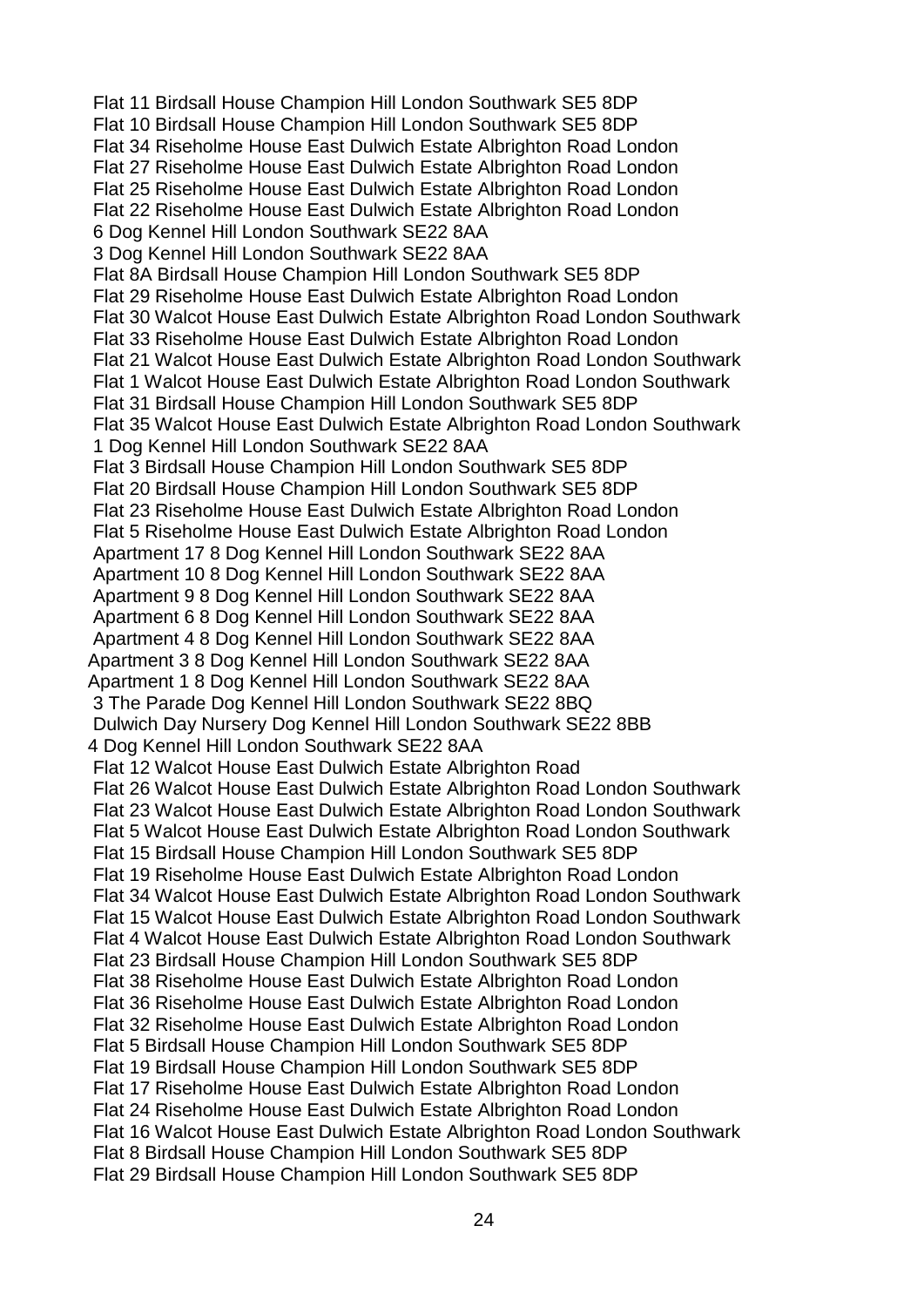Flat 11 Birdsall House Champion Hill London Southwark SE5 8DP Flat 10 Birdsall House Champion Hill London Southwark SE5 8DP Flat 34 Riseholme House East Dulwich Estate Albrighton Road London Flat 27 Riseholme House East Dulwich Estate Albrighton Road London Flat 25 Riseholme House East Dulwich Estate Albrighton Road London Flat 22 Riseholme House East Dulwich Estate Albrighton Road London 6 Dog Kennel Hill London Southwark SE22 8AA 3 Dog Kennel Hill London Southwark SE22 8AA Flat 8A Birdsall House Champion Hill London Southwark SE5 8DP Flat 29 Riseholme House East Dulwich Estate Albrighton Road London Flat 30 Walcot House East Dulwich Estate Albrighton Road London Southwark Flat 33 Riseholme House East Dulwich Estate Albrighton Road London Flat 21 Walcot House East Dulwich Estate Albrighton Road London Southwark Flat 1 Walcot House East Dulwich Estate Albrighton Road London Southwark Flat 31 Birdsall House Champion Hill London Southwark SE5 8DP Flat 35 Walcot House East Dulwich Estate Albrighton Road London Southwark 1 Dog Kennel Hill London Southwark SE22 8AA Flat 3 Birdsall House Champion Hill London Southwark SE5 8DP Flat 20 Birdsall House Champion Hill London Southwark SE5 8DP Flat 23 Riseholme House East Dulwich Estate Albrighton Road London Flat 5 Riseholme House East Dulwich Estate Albrighton Road London Apartment 17 8 Dog Kennel Hill London Southwark SE22 8AA Apartment 10 8 Dog Kennel Hill London Southwark SE22 8AA Apartment 9 8 Dog Kennel Hill London Southwark SE22 8AA Apartment 6 8 Dog Kennel Hill London Southwark SE22 8AA Apartment 4 8 Dog Kennel Hill London Southwark SE22 8AA Apartment 3 8 Dog Kennel Hill London Southwark SE22 8AA Apartment 1 8 Dog Kennel Hill London Southwark SE22 8AA 3 The Parade Dog Kennel Hill London Southwark SE22 8BQ Dulwich Day Nursery Dog Kennel Hill London Southwark SE22 8BB 4 Dog Kennel Hill London Southwark SE22 8AA Flat 12 Walcot House East Dulwich Estate Albrighton Road Flat 26 Walcot House East Dulwich Estate Albrighton Road London Southwark Flat 23 Walcot House East Dulwich Estate Albrighton Road London Southwark Flat 5 Walcot House East Dulwich Estate Albrighton Road London Southwark Flat 15 Birdsall House Champion Hill London Southwark SE5 8DP Flat 19 Riseholme House East Dulwich Estate Albrighton Road London Flat 34 Walcot House East Dulwich Estate Albrighton Road London Southwark Flat 15 Walcot House East Dulwich Estate Albrighton Road London Southwark Flat 4 Walcot House East Dulwich Estate Albrighton Road London Southwark Flat 23 Birdsall House Champion Hill London Southwark SE5 8DP Flat 38 Riseholme House East Dulwich Estate Albrighton Road London Flat 36 Riseholme House East Dulwich Estate Albrighton Road London Flat 32 Riseholme House East Dulwich Estate Albrighton Road London Flat 5 Birdsall House Champion Hill London Southwark SE5 8DP Flat 19 Birdsall House Champion Hill London Southwark SE5 8DP Flat 17 Riseholme House East Dulwich Estate Albrighton Road London Flat 24 Riseholme House East Dulwich Estate Albrighton Road London Flat 16 Walcot House East Dulwich Estate Albrighton Road London Southwark Flat 8 Birdsall House Champion Hill London Southwark SE5 8DP Flat 29 Birdsall House Champion Hill London Southwark SE5 8DP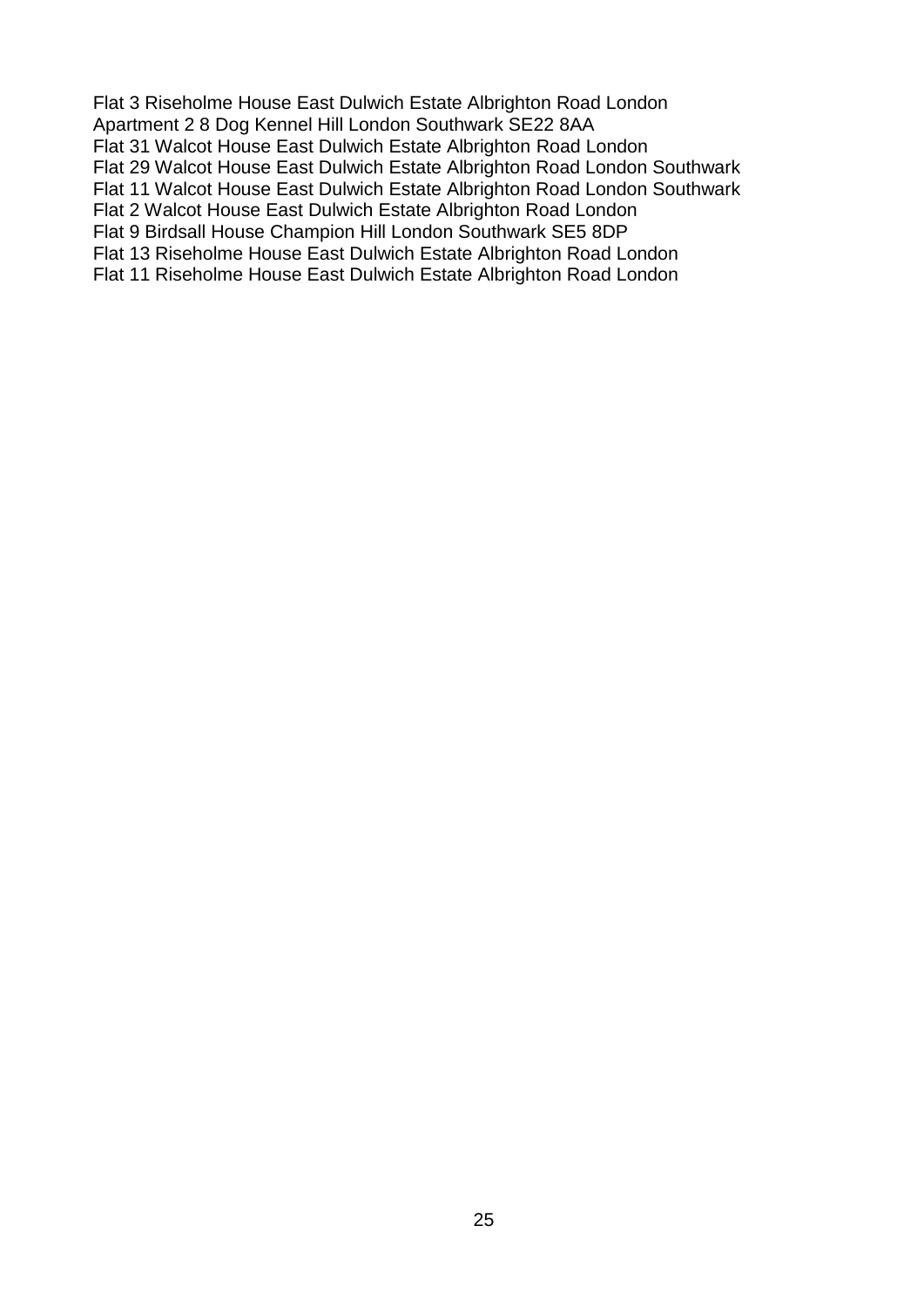Flat 3 Riseholme House East Dulwich Estate Albrighton Road London Apartment 2 8 Dog Kennel Hill London Southwark SE22 8AA Flat 31 Walcot House East Dulwich Estate Albrighton Road London Flat 29 Walcot House East Dulwich Estate Albrighton Road London Southwark Flat 11 Walcot House East Dulwich Estate Albrighton Road London Southwark Flat 2 Walcot House East Dulwich Estate Albrighton Road London Flat 9 Birdsall House Champion Hill London Southwark SE5 8DP Flat 13 Riseholme House East Dulwich Estate Albrighton Road London Flat 11 Riseholme House East Dulwich Estate Albrighton Road London